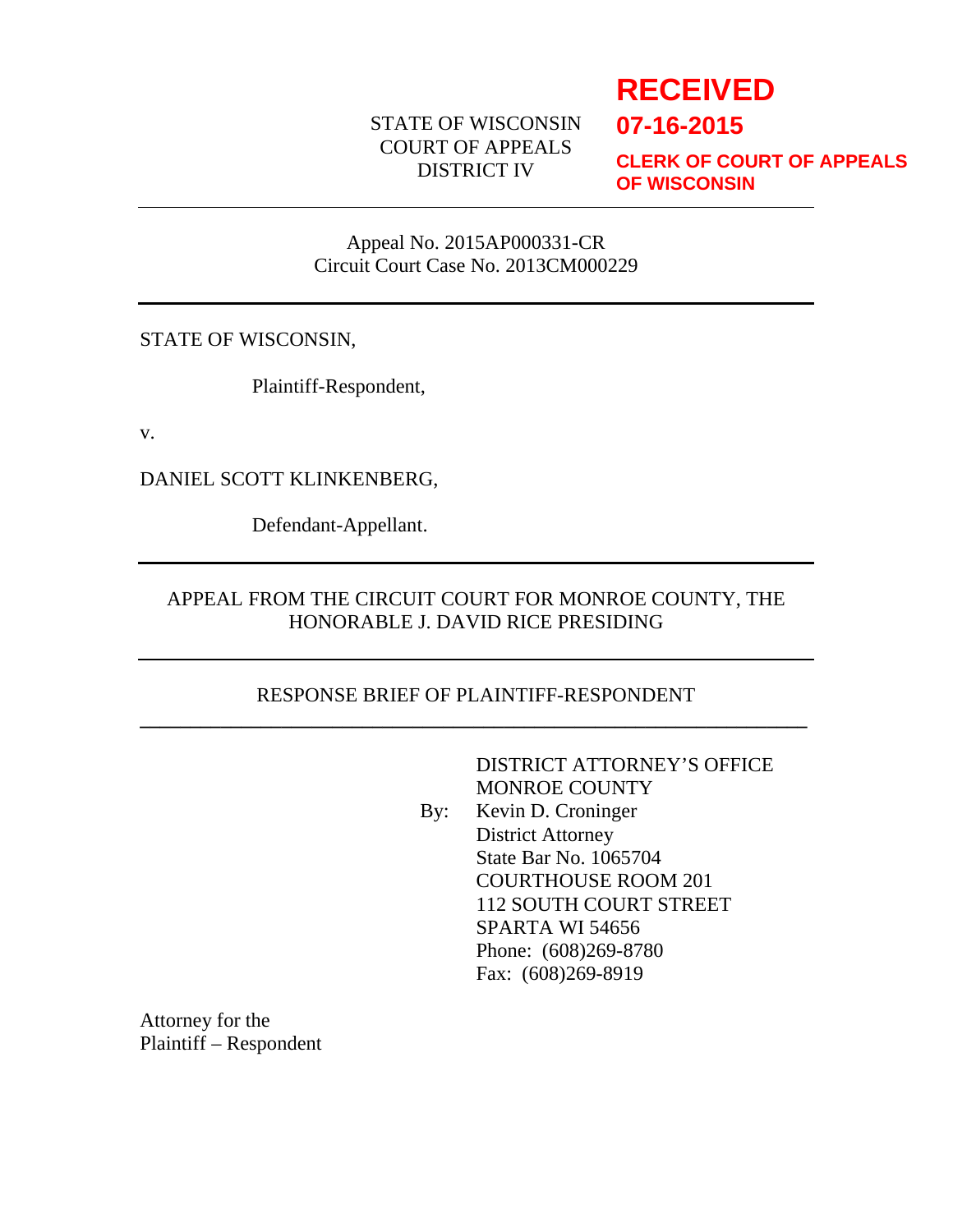# STATE OF WISCONSIN COURT OF APPEALS DISTRICT IV

# **RECEIVED**

**07-16-2015**

**CLERK OF COURT OF APPEALS OF WISCONSIN**

#### Appeal No. 2015AP000331-CR Circuit Court Case No. 2013CM000229

STATE OF WISCONSIN,

Plaintiff-Respondent,

v.

DANIEL SCOTT KLINKENBERG,

Defendant-Appellant.

# APPEAL FROM THE CIRCUIT COURT FOR MONROE COUNTY, THE HONORABLE J. DAVID RICE PRESIDING

# RESPONSE BRIEF OF PLAINTIFF-RESPONDENT **\_\_\_\_\_\_\_\_\_\_\_\_\_\_\_\_\_\_\_\_\_\_\_\_\_\_\_\_\_\_\_\_\_\_\_\_\_\_\_\_\_\_\_\_\_\_\_\_\_\_\_\_\_\_\_\_\_\_\_\_\_\_\_\_\_\_**

DISTRICT ATTORNEY'S OFFICE MONROE COUNTY By: Kevin D. Croninger District Attorney State Bar No. 1065704 COURTHOUSE ROOM 201 112 SOUTH COURT STREET SPARTA WI 54656 Phone: (608)269-8780 Fax: (608)269-8919

Attorney for the Plaintiff – Respondent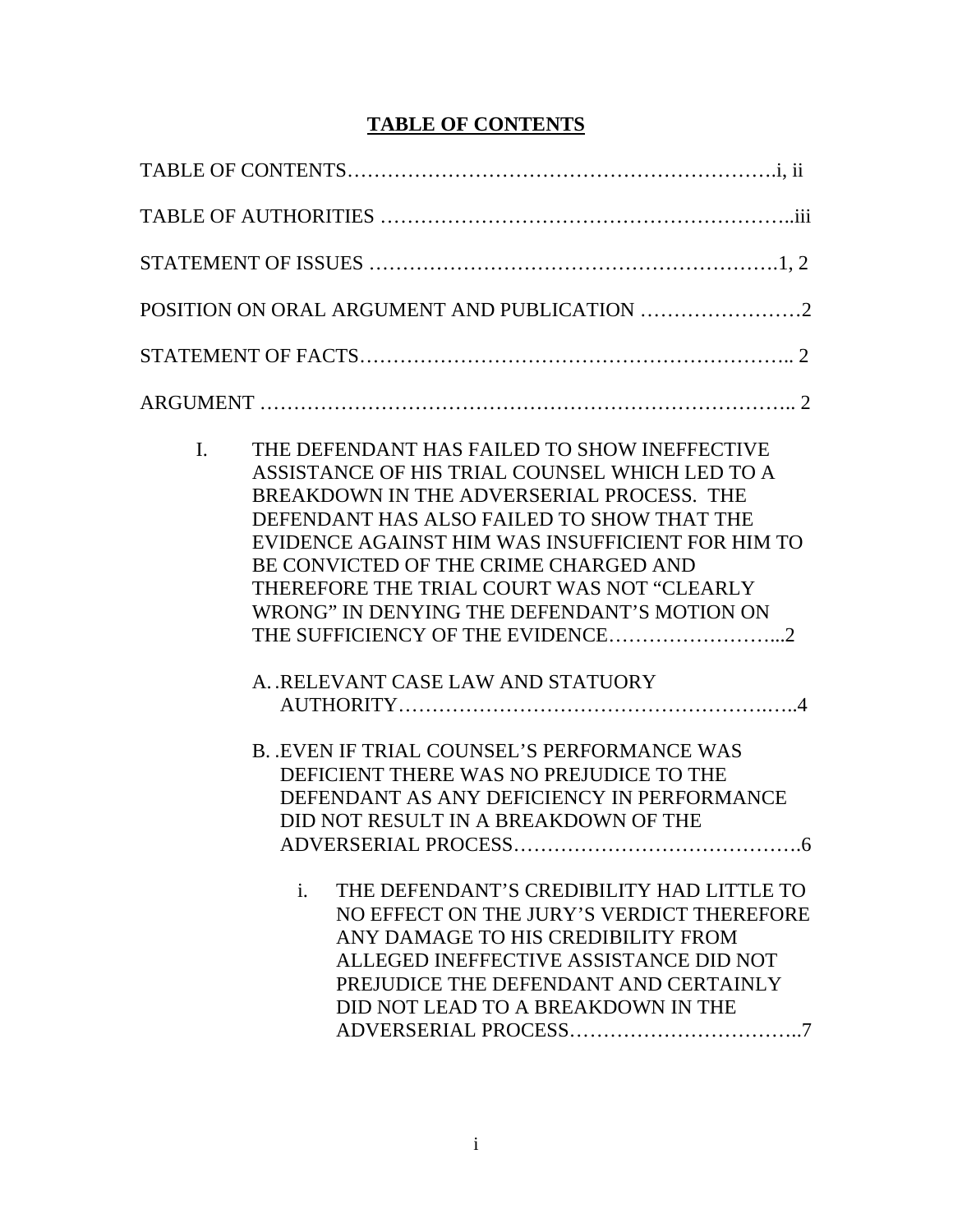# **TABLE OF CONTENTS**

| I. | THE DEFENDANT HAS FAILED TO SHOW INEFFECTIVE<br>ASSISTANCE OF HIS TRIAL COUNSEL WHICH LED TO A<br>BREAKDOWN IN THE ADVERSERIAL PROCESS. THE<br>DEFENDANT HAS ALSO FAILED TO SHOW THAT THE<br>EVIDENCE AGAINST HIM WAS INSUFFICIENT FOR HIM TO<br>BE CONVICTED OF THE CRIME CHARGED AND<br>THEREFORE THE TRIAL COURT WAS NOT "CLEARLY<br>WRONG" IN DENYING THE DEFENDANT'S MOTION ON<br>A. RELEVANT CASE LAW AND STATUORY                          |  |
|----|---------------------------------------------------------------------------------------------------------------------------------------------------------------------------------------------------------------------------------------------------------------------------------------------------------------------------------------------------------------------------------------------------------------------------------------------------|--|
|    | <b>B. EVEN IF TRIAL COUNSEL'S PERFORMANCE WAS</b><br>DEFICIENT THERE WAS NO PREJUDICE TO THE<br>DEFENDANT AS ANY DEFICIENCY IN PERFORMANCE<br>DID NOT RESULT IN A BREAKDOWN OF THE<br>THE DEFENDANT'S CREDIBILITY HAD LITTLE TO<br>i.<br>NO EFFECT ON THE JURY'S VERDICT THEREFORE<br>ANY DAMAGE TO HIS CREDIBILITY FROM<br>ALLEGED INEFFECTIVE ASSISTANCE DID NOT<br>PREJUDICE THE DEFENDANT AND CERTAINLY<br>DID NOT LEAD TO A BREAKDOWN IN THE |  |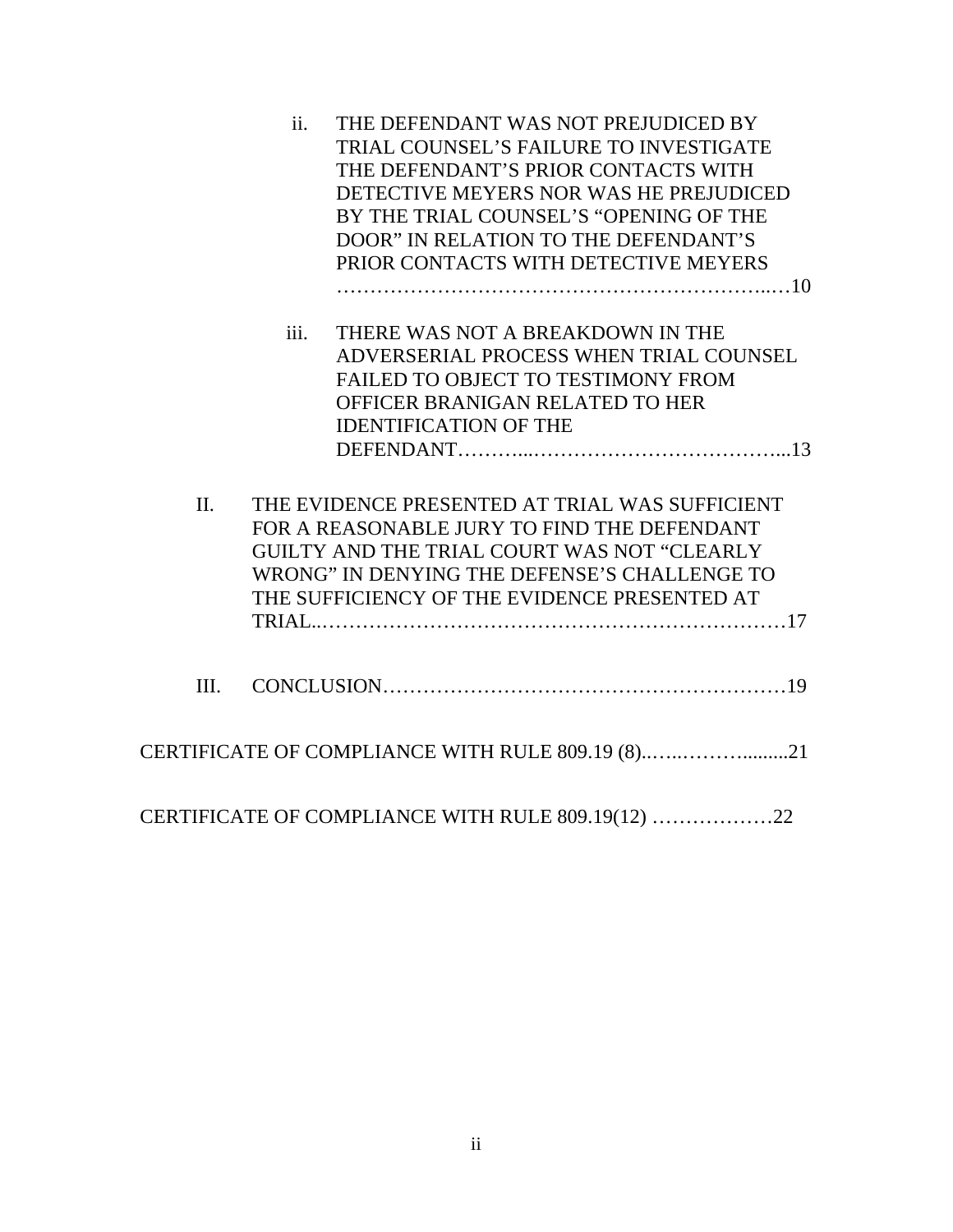|         | ii.  | THE DEFENDANT WAS NOT PREJUDICED BY               |
|---------|------|---------------------------------------------------|
|         |      | TRIAL COUNSEL'S FAILURE TO INVESTIGATE            |
|         |      | THE DEFENDANT'S PRIOR CONTACTS WITH               |
|         |      | DETECTIVE MEYERS NOR WAS HE PREJUDICED            |
|         |      | BY THE TRIAL COUNSEL'S "OPENING OF THE            |
|         |      | DOOR" IN RELATION TO THE DEFENDANT'S              |
|         |      | PRIOR CONTACTS WITH DETECTIVE MEYERS              |
|         |      |                                                   |
|         | iii. | THERE WAS NOT A BREAKDOWN IN THE                  |
|         |      | ADVERSERIAL PROCESS WHEN TRIAL COUNSEL            |
|         |      | FAILED TO OBJECT TO TESTIMONY FROM                |
|         |      | OFFICER BRANIGAN RELATED TO HER                   |
|         |      | <b>IDENTIFICATION OF THE</b>                      |
|         |      |                                                   |
| $\Pi$ . |      | THE EVIDENCE PRESENTED AT TRIAL WAS SUFFICIENT    |
|         |      | FOR A REASONABLE JURY TO FIND THE DEFENDANT       |
|         |      | GUILTY AND THE TRIAL COURT WAS NOT "CLEARLY       |
|         |      | WRONG" IN DENYING THE DEFENSE'S CHALLENGE TO      |
|         |      | THE SUFFICIENCY OF THE EVIDENCE PRESENTED AT      |
|         |      |                                                   |
|         |      |                                                   |
| III.    |      |                                                   |
|         |      |                                                   |
|         |      | CERTIFICATE OF COMPLIANCE WITH RULE 809.19 (8)21  |
|         |      |                                                   |
|         |      | CERTIFICATE OF COMPLIANCE WITH RULE 809.19(12) 22 |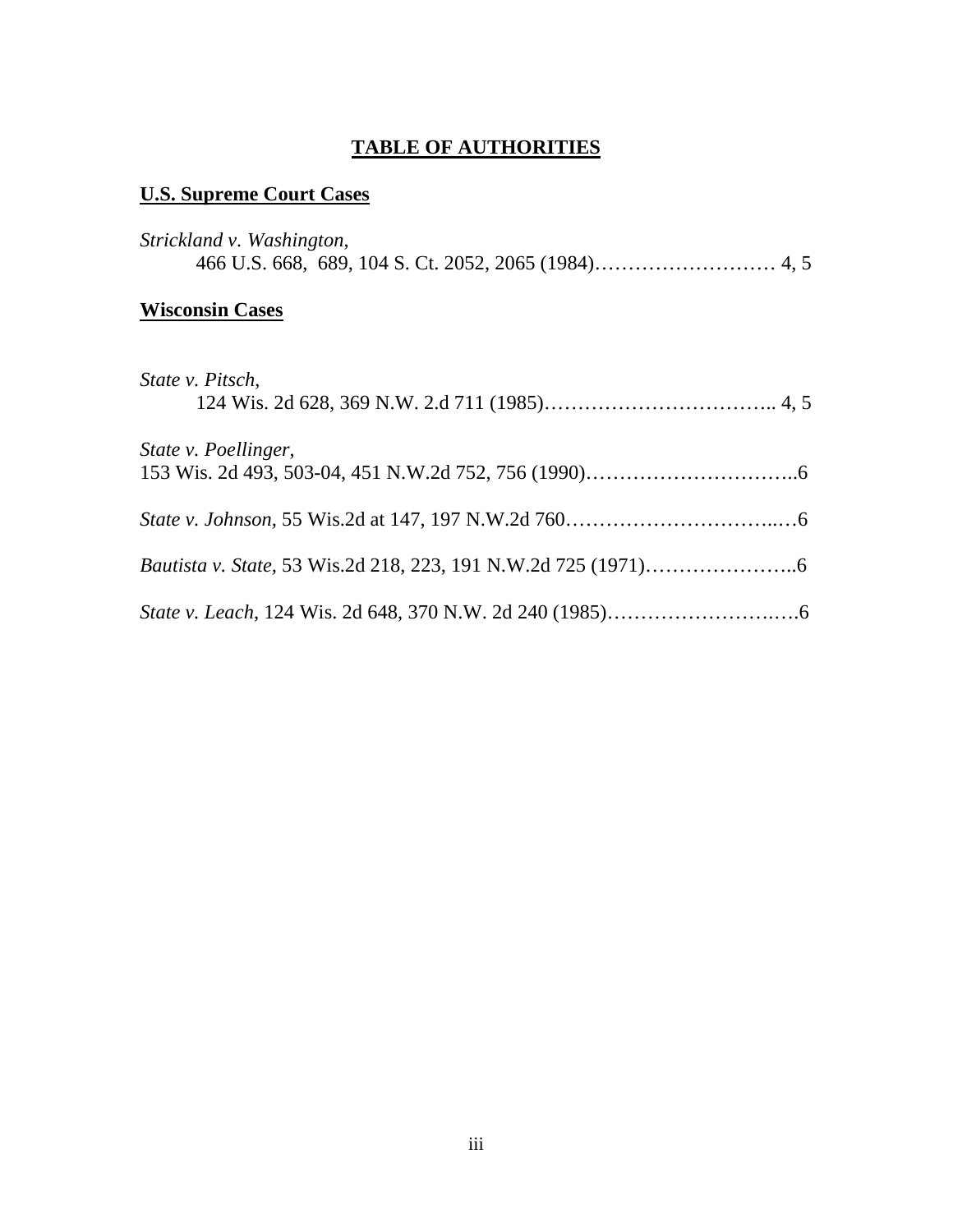# **TABLE OF AUTHORITIES**

# **U.S. Supreme Court Cases**

| Strickland v. Washington, |
|---------------------------|
| <b>Wisconsin Cases</b>    |
| <i>State v. Pitsch.</i>   |

| State v. Poellinger, |
|----------------------|
|                      |
|                      |
|                      |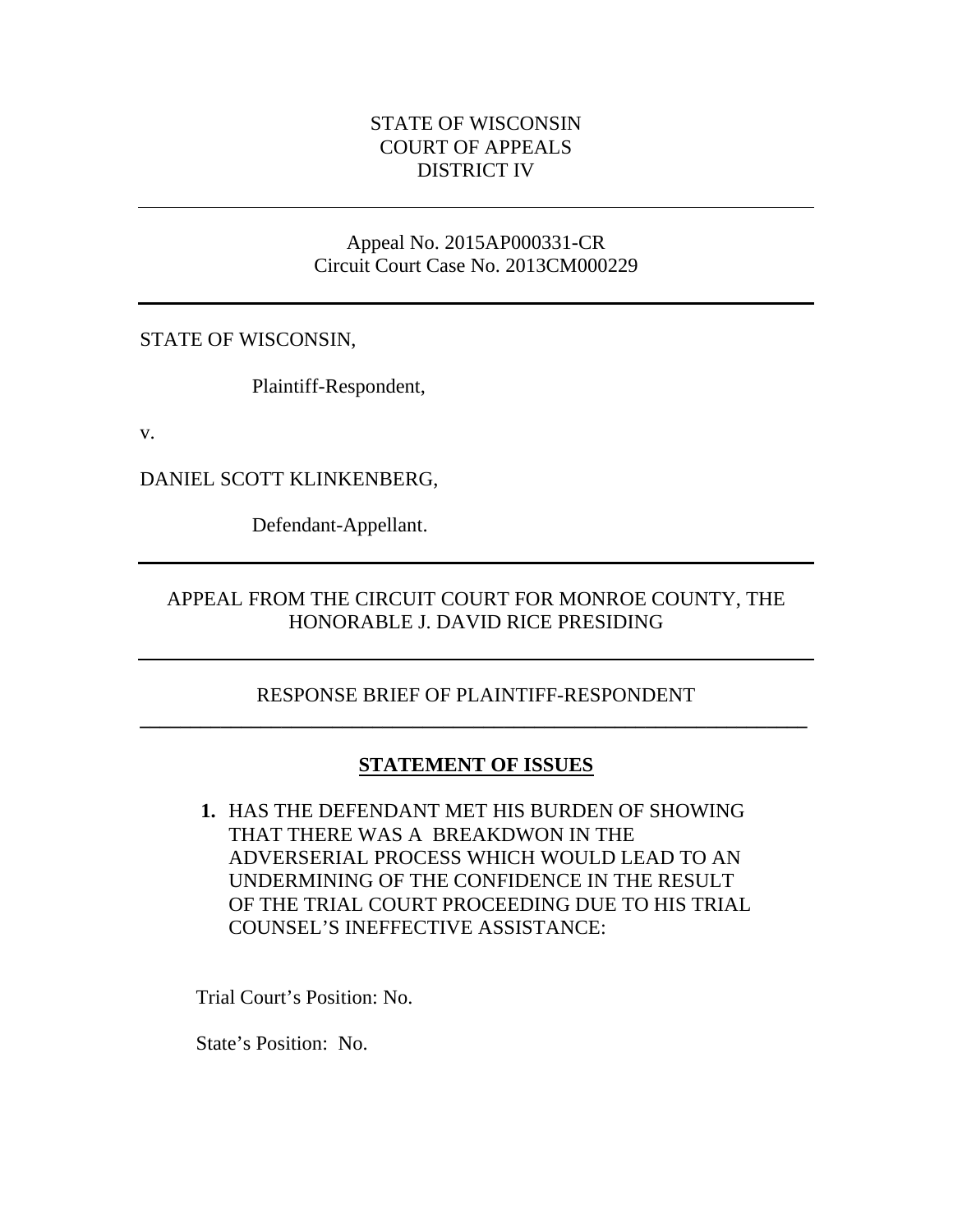# STATE OF WISCONSIN COURT OF APPEALS DISTRICT IV

#### Appeal No. 2015AP000331-CR Circuit Court Case No. 2013CM000229

STATE OF WISCONSIN,

Plaintiff-Respondent,

v.

DANIEL SCOTT KLINKENBERG,

Defendant-Appellant.

# APPEAL FROM THE CIRCUIT COURT FOR MONROE COUNTY, THE HONORABLE J. DAVID RICE PRESIDING

# RESPONSE BRIEF OF PLAINTIFF-RESPONDENT **\_\_\_\_\_\_\_\_\_\_\_\_\_\_\_\_\_\_\_\_\_\_\_\_\_\_\_\_\_\_\_\_\_\_\_\_\_\_\_\_\_\_\_\_\_\_\_\_\_\_\_\_\_\_\_\_\_\_\_\_\_\_\_\_\_\_**

# **STATEMENT OF ISSUES**

**1.** HAS THE DEFENDANT MET HIS BURDEN OF SHOWING THAT THERE WAS A BREAKDWON IN THE ADVERSERIAL PROCESS WHICH WOULD LEAD TO AN UNDERMINING OF THE CONFIDENCE IN THE RESULT OF THE TRIAL COURT PROCEEDING DUE TO HIS TRIAL COUNSEL'S INEFFECTIVE ASSISTANCE:

Trial Court's Position: No.

State's Position: No.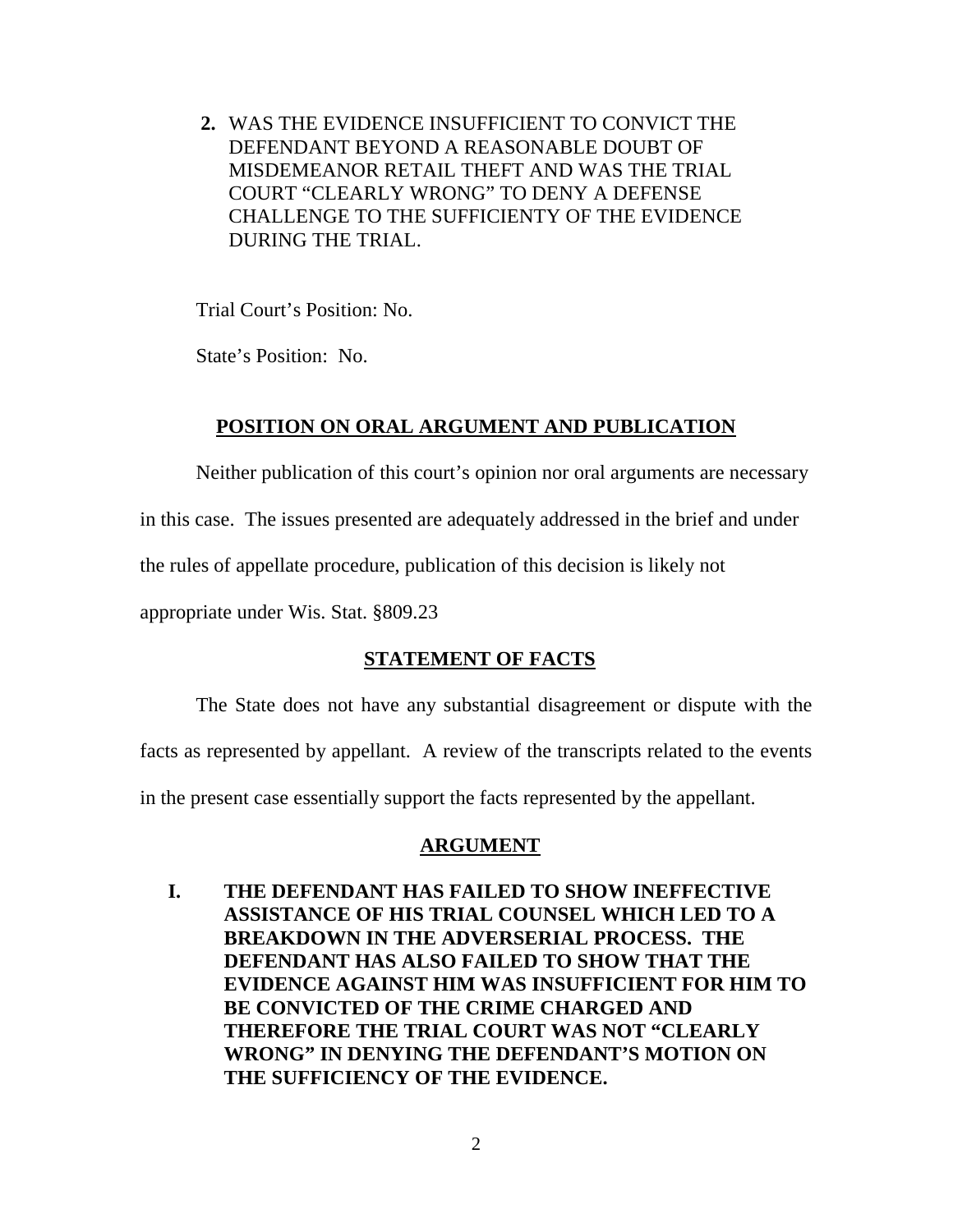**2.** WAS THE EVIDENCE INSUFFICIENT TO CONVICT THE DEFENDANT BEYOND A REASONABLE DOUBT OF MISDEMEANOR RETAIL THEFT AND WAS THE TRIAL COURT "CLEARLY WRONG" TO DENY A DEFENSE CHALLENGE TO THE SUFFICIENTY OF THE EVIDENCE DURING THE TRIAL.

Trial Court's Position: No.

State's Position: No.

# **POSITION ON ORAL ARGUMENT AND PUBLICATION**

Neither publication of this court's opinion nor oral arguments are necessary

in this case. The issues presented are adequately addressed in the brief and under

the rules of appellate procedure, publication of this decision is likely not

appropriate under Wis. Stat. §809.23

# **STATEMENT OF FACTS**

The State does not have any substantial disagreement or dispute with the

facts as represented by appellant. A review of the transcripts related to the events

in the present case essentially support the facts represented by the appellant.

# **ARGUMENT**

**I. THE DEFENDANT HAS FAILED TO SHOW INEFFECTIVE ASSISTANCE OF HIS TRIAL COUNSEL WHICH LED TO A BREAKDOWN IN THE ADVERSERIAL PROCESS. THE DEFENDANT HAS ALSO FAILED TO SHOW THAT THE EVIDENCE AGAINST HIM WAS INSUFFICIENT FOR HIM TO BE CONVICTED OF THE CRIME CHARGED AND THEREFORE THE TRIAL COURT WAS NOT "CLEARLY WRONG" IN DENYING THE DEFENDANT'S MOTION ON THE SUFFICIENCY OF THE EVIDENCE.**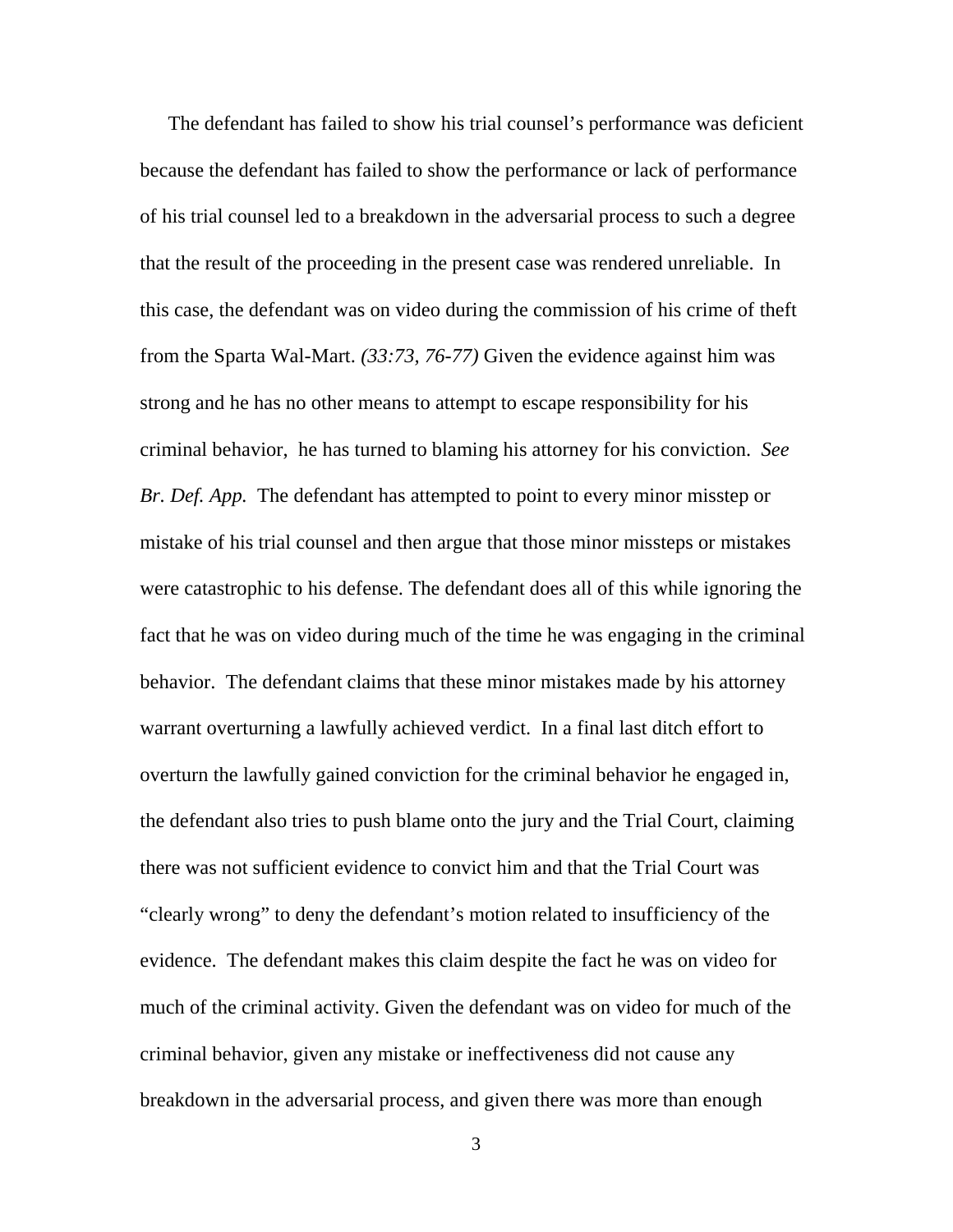The defendant has failed to show his trial counsel's performance was deficient because the defendant has failed to show the performance or lack of performance of his trial counsel led to a breakdown in the adversarial process to such a degree that the result of the proceeding in the present case was rendered unreliable. In this case, the defendant was on video during the commission of his crime of theft from the Sparta Wal-Mart. *(33:73, 76-77)* Given the evidence against him was strong and he has no other means to attempt to escape responsibility for his criminal behavior, he has turned to blaming his attorney for his conviction. *See Br. Def. App.* The defendant has attempted to point to every minor misstep or mistake of his trial counsel and then argue that those minor missteps or mistakes were catastrophic to his defense. The defendant does all of this while ignoring the fact that he was on video during much of the time he was engaging in the criminal behavior. The defendant claims that these minor mistakes made by his attorney warrant overturning a lawfully achieved verdict. In a final last ditch effort to overturn the lawfully gained conviction for the criminal behavior he engaged in, the defendant also tries to push blame onto the jury and the Trial Court, claiming there was not sufficient evidence to convict him and that the Trial Court was "clearly wrong" to deny the defendant's motion related to insufficiency of the evidence. The defendant makes this claim despite the fact he was on video for much of the criminal activity. Given the defendant was on video for much of the criminal behavior, given any mistake or ineffectiveness did not cause any breakdown in the adversarial process, and given there was more than enough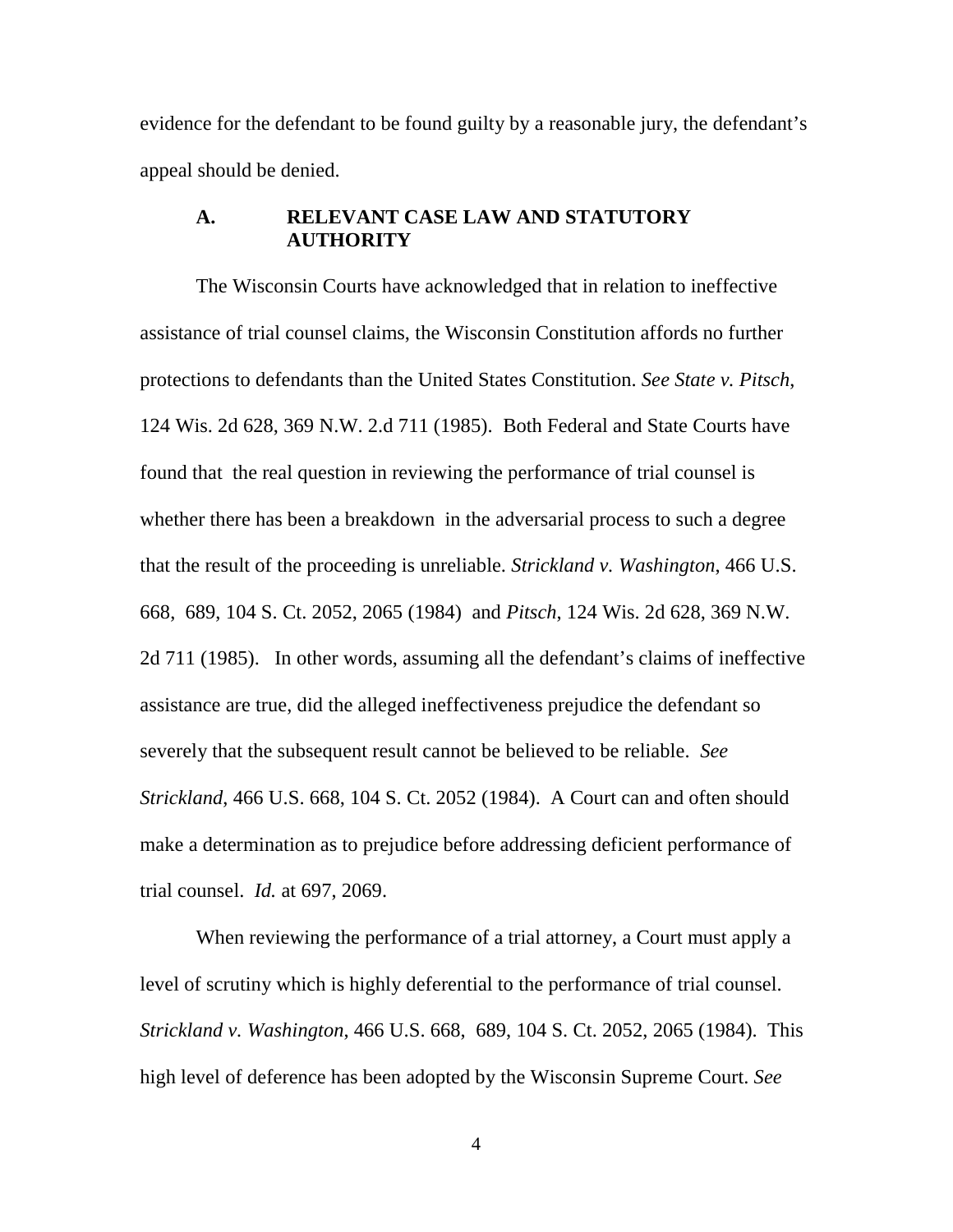evidence for the defendant to be found guilty by a reasonable jury, the defendant's appeal should be denied.

### **A. RELEVANT CASE LAW AND STATUTORY AUTHORITY**

The Wisconsin Courts have acknowledged that in relation to ineffective assistance of trial counsel claims, the Wisconsin Constitution affords no further protections to defendants than the United States Constitution. *See State v. Pitsch*, 124 Wis. 2d 628, 369 N.W. 2.d 711 (1985). Both Federal and State Courts have found that the real question in reviewing the performance of trial counsel is whether there has been a breakdown in the adversarial process to such a degree that the result of the proceeding is unreliable. *Strickland v. Washington*, 466 U.S. 668, 689, 104 S. Ct. 2052, 2065 (1984) and *Pitsch*, 124 Wis. 2d 628, 369 N.W. 2d 711 (1985). In other words, assuming all the defendant's claims of ineffective assistance are true, did the alleged ineffectiveness prejudice the defendant so severely that the subsequent result cannot be believed to be reliable. *See Strickland*, 466 U.S. 668, 104 S. Ct. 2052 (1984). A Court can and often should make a determination as to prejudice before addressing deficient performance of trial counsel. *Id.* at 697, 2069.

When reviewing the performance of a trial attorney, a Court must apply a level of scrutiny which is highly deferential to the performance of trial counsel. *Strickland v. Washington*, 466 U.S. 668, 689, 104 S. Ct. 2052, 2065 (1984). This high level of deference has been adopted by the Wisconsin Supreme Court. *See*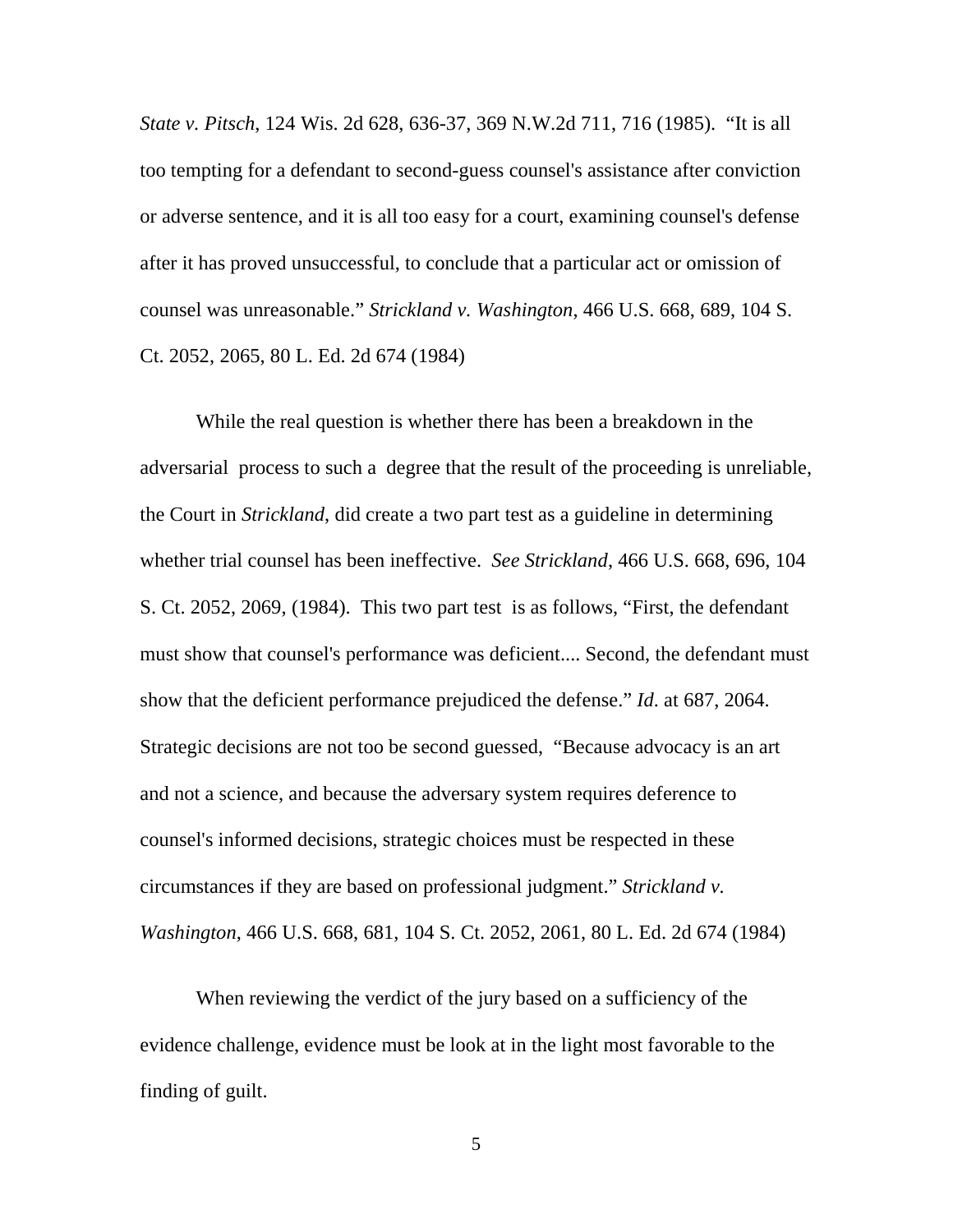*State v. Pitsch*, 124 Wis. 2d 628, 636-37, 369 N.W.2d 711, 716 (1985). "It is all too tempting for a defendant to second-guess counsel's assistance after conviction or adverse sentence, and it is all too easy for a court, examining counsel's defense after it has proved unsuccessful, to conclude that a particular act or omission of counsel was unreasonable." *Strickland v. Washington*, 466 U.S. 668, 689, 104 S. Ct. 2052, 2065, 80 L. Ed. 2d 674 (1984)

While the real question is whether there has been a breakdown in the adversarial process to such a degree that the result of the proceeding is unreliable, the Court in *Strickland*, did create a two part test as a guideline in determining whether trial counsel has been ineffective. *See Strickland*, 466 U.S. 668, 696, 104 S. Ct. 2052, 2069, (1984). This two part test is as follows, "First, the defendant must show that counsel's performance was deficient.... Second, the defendant must show that the deficient performance prejudiced the defense." *Id*. at 687, 2064. Strategic decisions are not too be second guessed, "Because advocacy is an art and not a science, and because the adversary system requires deference to counsel's informed decisions, strategic choices must be respected in these circumstances if they are based on professional judgment." *Strickland v. Washington*, 466 U.S. 668, 681, 104 S. Ct. 2052, 2061, 80 L. Ed. 2d 674 (1984)

 When reviewing the verdict of the jury based on a sufficiency of the evidence challenge, evidence must be look at in the light most favorable to the finding of guilt.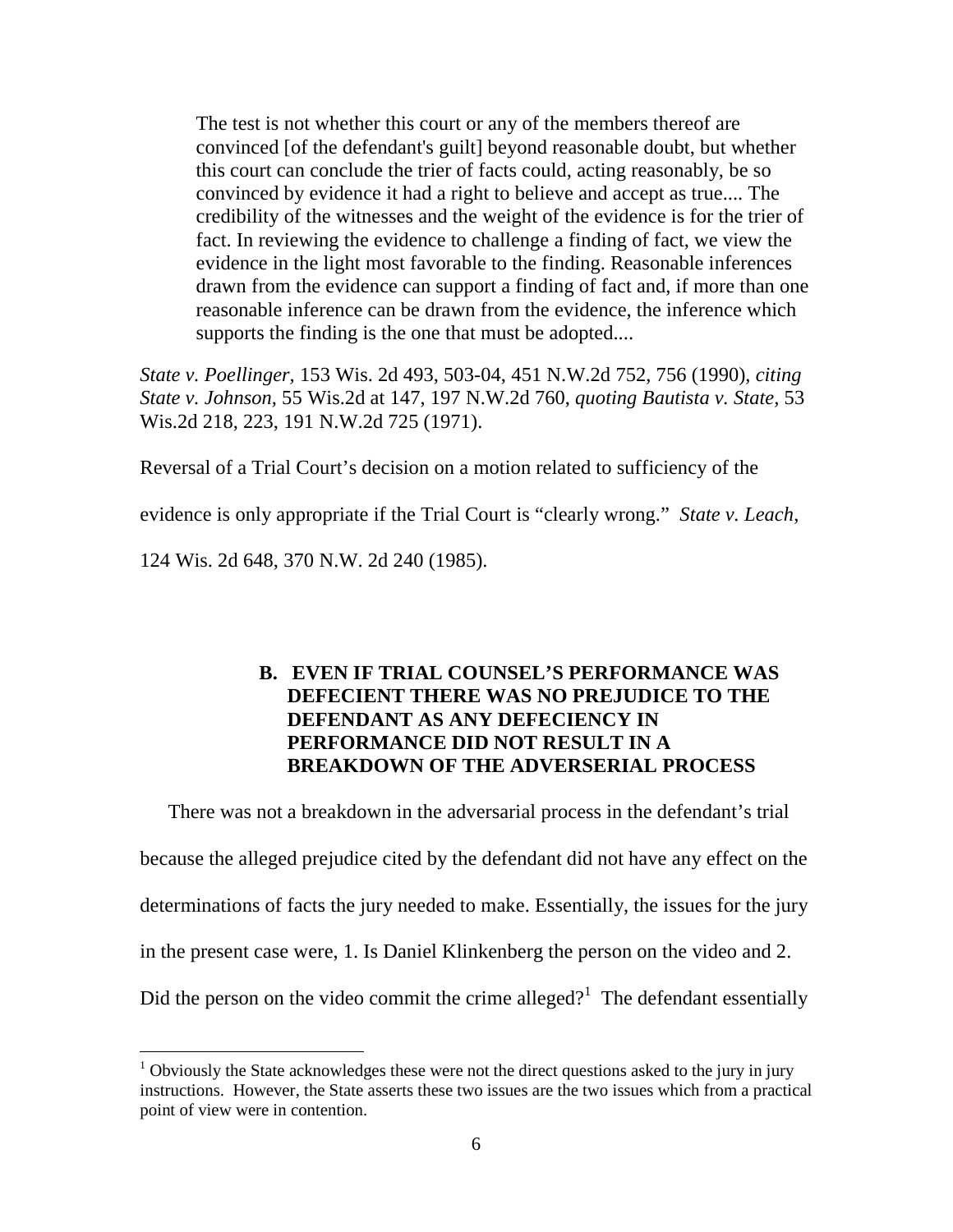The test is not whether this court or any of the members thereof are convinced [of the defendant's guilt] beyond reasonable doubt, but whether this court can conclude the trier of facts could, acting reasonably, be so convinced by evidence it had a right to believe and accept as true.... The credibility of the witnesses and the weight of the evidence is for the trier of fact. In reviewing the evidence to challenge a finding of fact, we view the evidence in the light most favorable to the finding. Reasonable inferences drawn from the evidence can support a finding of fact and, if more than one reasonable inference can be drawn from the evidence, the inference which supports the finding is the one that must be adopted....

*State v. Poellinger,* 153 Wis. 2d 493, 503-04, 451 N.W.2d 752, 756 (1990), *citing State v. Johnson,* 55 Wis.2d at 147, 197 N.W.2d 760, *quoting Bautista v. State,* 53 Wis.2d 218, 223, 191 N.W.2d 725 (1971).

Reversal of a Trial Court's decision on a motion related to sufficiency of the

evidence is only appropriate if the Trial Court is "clearly wrong." *State v. Leach*,

124 Wis. 2d 648, 370 N.W. 2d 240 (1985).

<u>.</u>

### **B. EVEN IF TRIAL COUNSEL'S PERFORMANCE WAS DEFECIENT THERE WAS NO PREJUDICE TO THE DEFENDANT AS ANY DEFECIENCY IN PERFORMANCE DID NOT RESULT IN A BREAKDOWN OF THE ADVERSERIAL PROCESS**

There was not a breakdown in the adversarial process in the defendant's trial because the alleged prejudice cited by the defendant did not have any effect on the determinations of facts the jury needed to make. Essentially, the issues for the jury in the present case were, 1. Is Daniel Klinkenberg the person on the video and 2. Did the person on the video commit the crime alleged?<sup>1</sup> The defendant essentially

<sup>&</sup>lt;sup>1</sup> Obviously the State acknowledges these were not the direct questions asked to the jury in jury instructions. However, the State asserts these two issues are the two issues which from a practical point of view were in contention.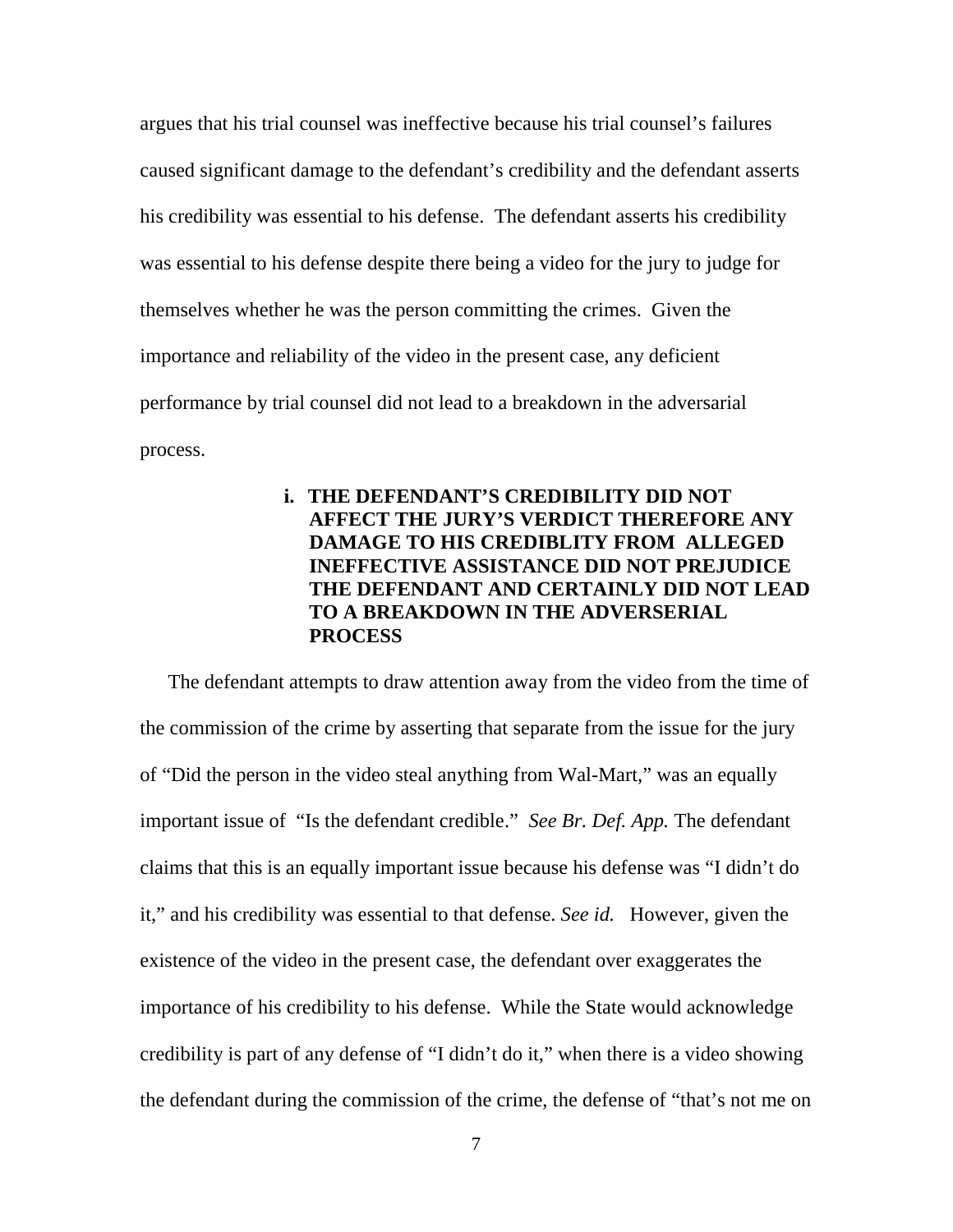argues that his trial counsel was ineffective because his trial counsel's failures caused significant damage to the defendant's credibility and the defendant asserts his credibility was essential to his defense. The defendant asserts his credibility was essential to his defense despite there being a video for the jury to judge for themselves whether he was the person committing the crimes. Given the importance and reliability of the video in the present case, any deficient performance by trial counsel did not lead to a breakdown in the adversarial process.

# **i. THE DEFENDANT'S CREDIBILITY DID NOT AFFECT THE JURY'S VERDICT THEREFORE ANY DAMAGE TO HIS CREDIBLITY FROM ALLEGED INEFFECTIVE ASSISTANCE DID NOT PREJUDICE THE DEFENDANT AND CERTAINLY DID NOT LEAD TO A BREAKDOWN IN THE ADVERSERIAL PROCESS**

The defendant attempts to draw attention away from the video from the time of the commission of the crime by asserting that separate from the issue for the jury of "Did the person in the video steal anything from Wal-Mart," was an equally important issue of "Is the defendant credible." *See Br. Def. App.* The defendant claims that this is an equally important issue because his defense was "I didn't do it," and his credibility was essential to that defense. *See id.* However, given the existence of the video in the present case, the defendant over exaggerates the importance of his credibility to his defense. While the State would acknowledge credibility is part of any defense of "I didn't do it," when there is a video showing the defendant during the commission of the crime, the defense of "that's not me on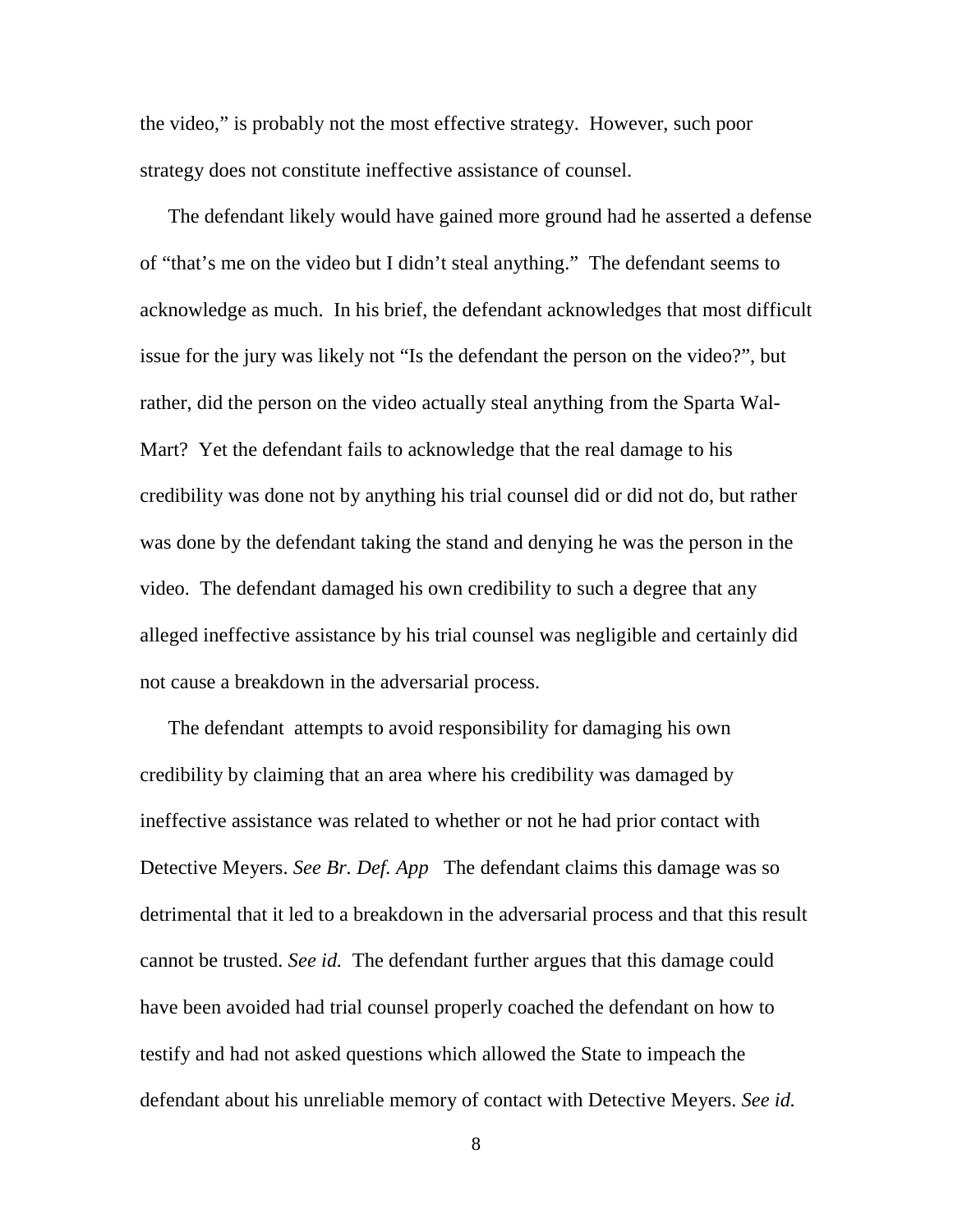the video," is probably not the most effective strategy. However, such poor strategy does not constitute ineffective assistance of counsel.

The defendant likely would have gained more ground had he asserted a defense of "that's me on the video but I didn't steal anything." The defendant seems to acknowledge as much. In his brief, the defendant acknowledges that most difficult issue for the jury was likely not "Is the defendant the person on the video?", but rather, did the person on the video actually steal anything from the Sparta Wal-Mart? Yet the defendant fails to acknowledge that the real damage to his credibility was done not by anything his trial counsel did or did not do, but rather was done by the defendant taking the stand and denying he was the person in the video. The defendant damaged his own credibility to such a degree that any alleged ineffective assistance by his trial counsel was negligible and certainly did not cause a breakdown in the adversarial process.

The defendant attempts to avoid responsibility for damaging his own credibility by claiming that an area where his credibility was damaged by ineffective assistance was related to whether or not he had prior contact with Detective Meyers. *See Br. Def. App* The defendant claims this damage was so detrimental that it led to a breakdown in the adversarial process and that this result cannot be trusted. *See id.* The defendant further argues that this damage could have been avoided had trial counsel properly coached the defendant on how to testify and had not asked questions which allowed the State to impeach the defendant about his unreliable memory of contact with Detective Meyers. *See id.*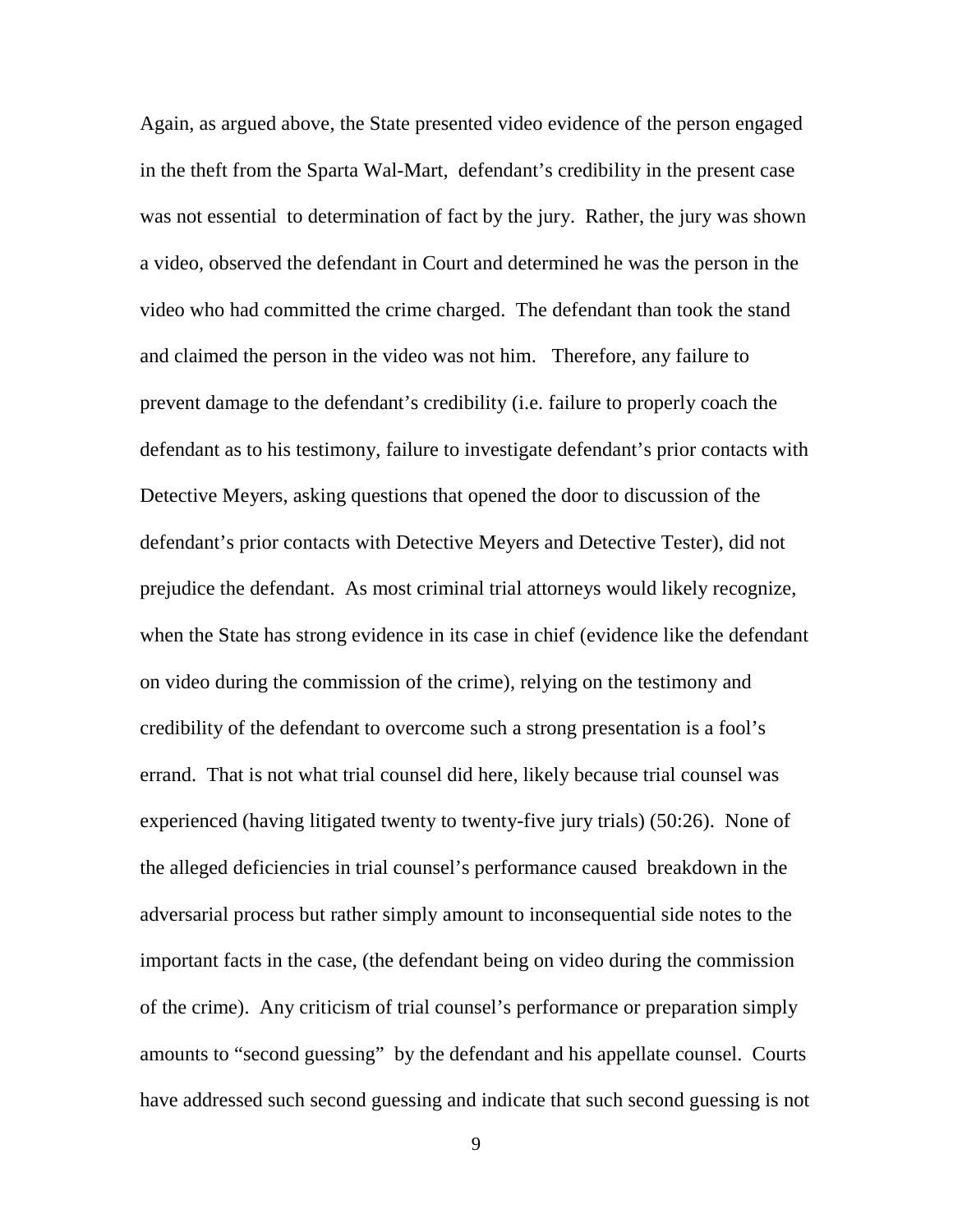Again, as argued above, the State presented video evidence of the person engaged in the theft from the Sparta Wal-Mart, defendant's credibility in the present case was not essential to determination of fact by the jury. Rather, the jury was shown a video, observed the defendant in Court and determined he was the person in the video who had committed the crime charged. The defendant than took the stand and claimed the person in the video was not him. Therefore, any failure to prevent damage to the defendant's credibility (i.e. failure to properly coach the defendant as to his testimony, failure to investigate defendant's prior contacts with Detective Meyers, asking questions that opened the door to discussion of the defendant's prior contacts with Detective Meyers and Detective Tester), did not prejudice the defendant. As most criminal trial attorneys would likely recognize, when the State has strong evidence in its case in chief (evidence like the defendant on video during the commission of the crime), relying on the testimony and credibility of the defendant to overcome such a strong presentation is a fool's errand. That is not what trial counsel did here, likely because trial counsel was experienced (having litigated twenty to twenty-five jury trials) (50:26). None of the alleged deficiencies in trial counsel's performance caused breakdown in the adversarial process but rather simply amount to inconsequential side notes to the important facts in the case, (the defendant being on video during the commission of the crime). Any criticism of trial counsel's performance or preparation simply amounts to "second guessing" by the defendant and his appellate counsel. Courts have addressed such second guessing and indicate that such second guessing is not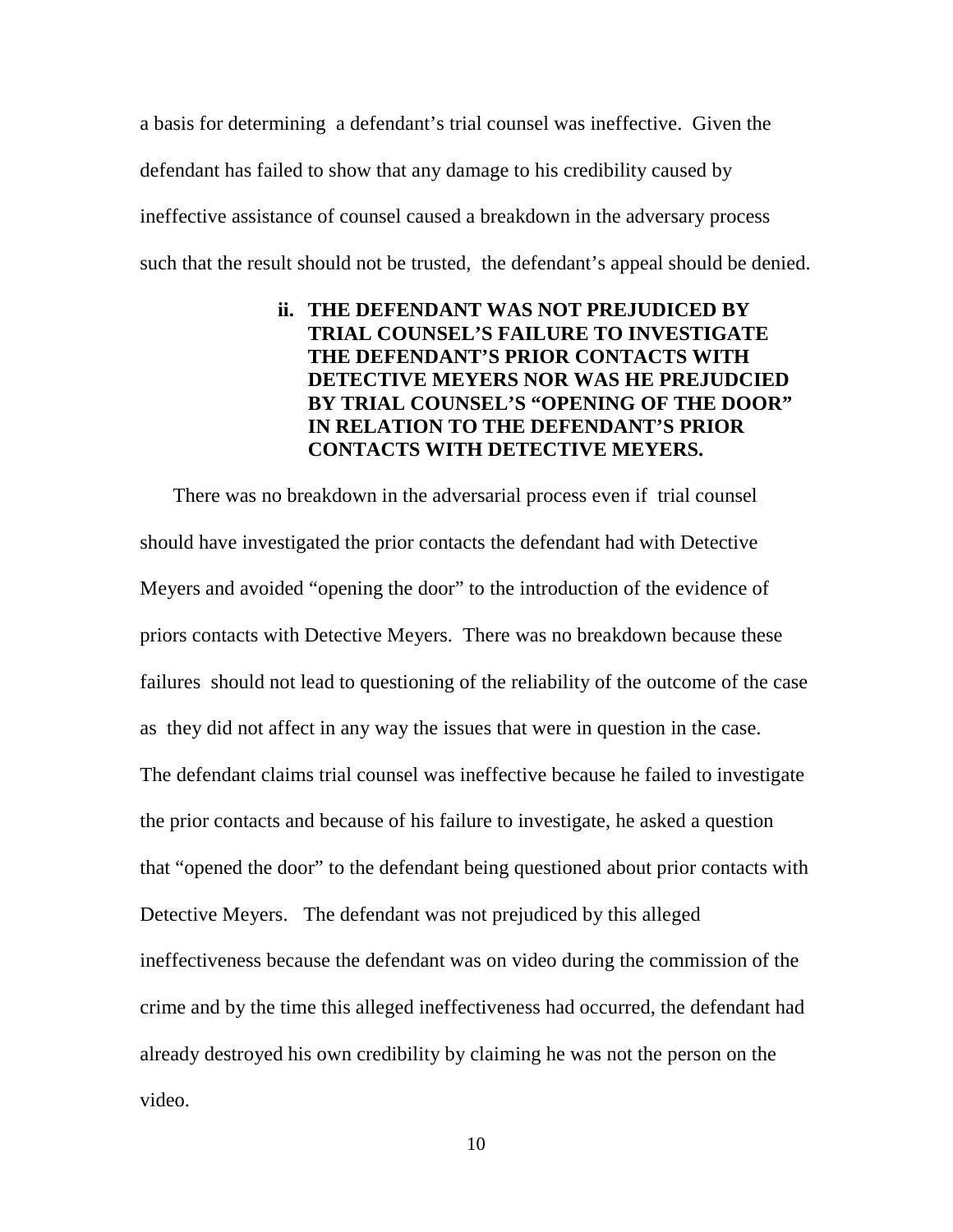a basis for determining a defendant's trial counsel was ineffective. Given the defendant has failed to show that any damage to his credibility caused by ineffective assistance of counsel caused a breakdown in the adversary process such that the result should not be trusted, the defendant's appeal should be denied.

# **ii. THE DEFENDANT WAS NOT PREJUDICED BY TRIAL COUNSEL'S FAILURE TO INVESTIGATE THE DEFENDANT'S PRIOR CONTACTS WITH DETECTIVE MEYERS NOR WAS HE PREJUDCIED BY TRIAL COUNSEL'S "OPENING OF THE DOOR" IN RELATION TO THE DEFENDANT'S PRIOR CONTACTS WITH DETECTIVE MEYERS.**

 There was no breakdown in the adversarial process even if trial counsel should have investigated the prior contacts the defendant had with Detective Meyers and avoided "opening the door" to the introduction of the evidence of priors contacts with Detective Meyers. There was no breakdown because these failures should not lead to questioning of the reliability of the outcome of the case as they did not affect in any way the issues that were in question in the case. The defendant claims trial counsel was ineffective because he failed to investigate the prior contacts and because of his failure to investigate, he asked a question that "opened the door" to the defendant being questioned about prior contacts with Detective Meyers. The defendant was not prejudiced by this alleged ineffectiveness because the defendant was on video during the commission of the crime and by the time this alleged ineffectiveness had occurred, the defendant had already destroyed his own credibility by claiming he was not the person on the video.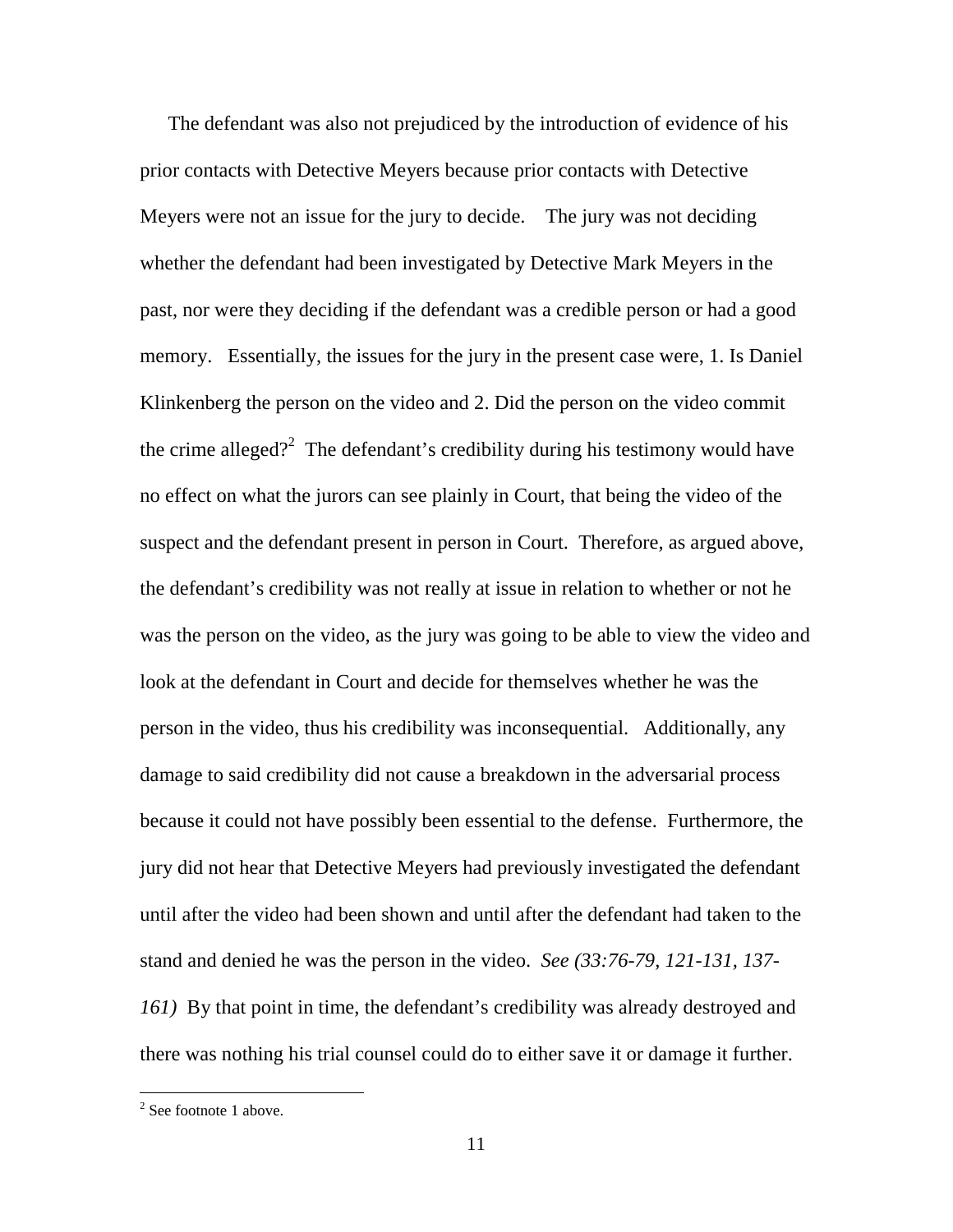The defendant was also not prejudiced by the introduction of evidence of his prior contacts with Detective Meyers because prior contacts with Detective Meyers were not an issue for the jury to decide. The jury was not deciding whether the defendant had been investigated by Detective Mark Meyers in the past, nor were they deciding if the defendant was a credible person or had a good memory. Essentially, the issues for the jury in the present case were, 1. Is Daniel Klinkenberg the person on the video and 2. Did the person on the video commit the crime alleged?<sup>2</sup> The defendant's credibility during his testimony would have no effect on what the jurors can see plainly in Court, that being the video of the suspect and the defendant present in person in Court. Therefore, as argued above, the defendant's credibility was not really at issue in relation to whether or not he was the person on the video, as the jury was going to be able to view the video and look at the defendant in Court and decide for themselves whether he was the person in the video, thus his credibility was inconsequential. Additionally, any damage to said credibility did not cause a breakdown in the adversarial process because it could not have possibly been essential to the defense. Furthermore, the jury did not hear that Detective Meyers had previously investigated the defendant until after the video had been shown and until after the defendant had taken to the stand and denied he was the person in the video. *See (33:76-79, 121-131, 137- 161)* By that point in time, the defendant's credibility was already destroyed and there was nothing his trial counsel could do to either save it or damage it further.

<sup>&</sup>lt;sup>2</sup> See footnote 1 above.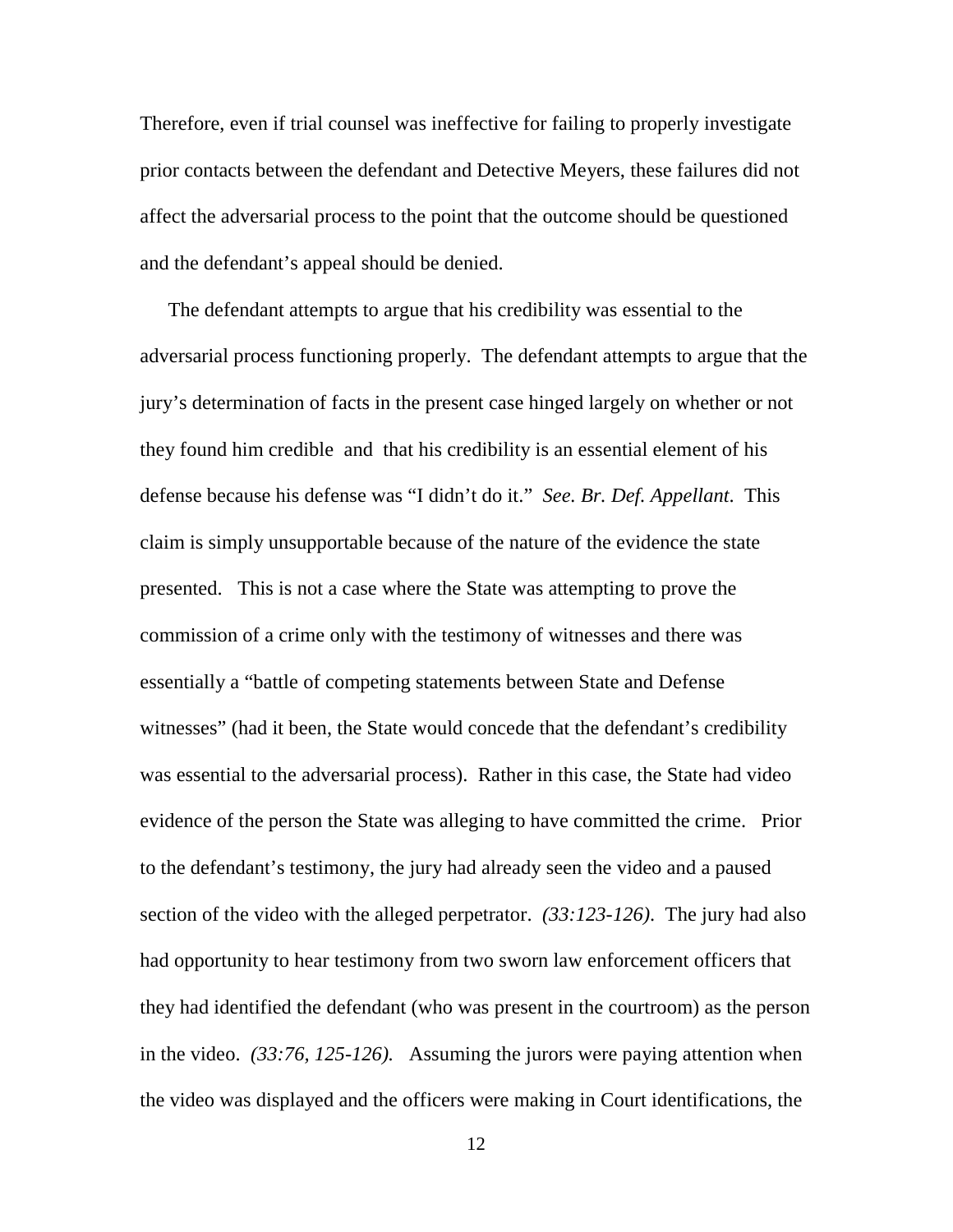Therefore, even if trial counsel was ineffective for failing to properly investigate prior contacts between the defendant and Detective Meyers, these failures did not affect the adversarial process to the point that the outcome should be questioned and the defendant's appeal should be denied.

The defendant attempts to argue that his credibility was essential to the adversarial process functioning properly. The defendant attempts to argue that the jury's determination of facts in the present case hinged largely on whether or not they found him credible and that his credibility is an essential element of his defense because his defense was "I didn't do it." *See. Br. Def. Appellant*. This claim is simply unsupportable because of the nature of the evidence the state presented. This is not a case where the State was attempting to prove the commission of a crime only with the testimony of witnesses and there was essentially a "battle of competing statements between State and Defense witnesses" (had it been, the State would concede that the defendant's credibility was essential to the adversarial process). Rather in this case, the State had video evidence of the person the State was alleging to have committed the crime. Prior to the defendant's testimony, the jury had already seen the video and a paused section of the video with the alleged perpetrator. *(33:123-126)*. The jury had also had opportunity to hear testimony from two sworn law enforcement officers that they had identified the defendant (who was present in the courtroom) as the person in the video. *(33:76, 125-126).* Assuming the jurors were paying attention when the video was displayed and the officers were making in Court identifications, the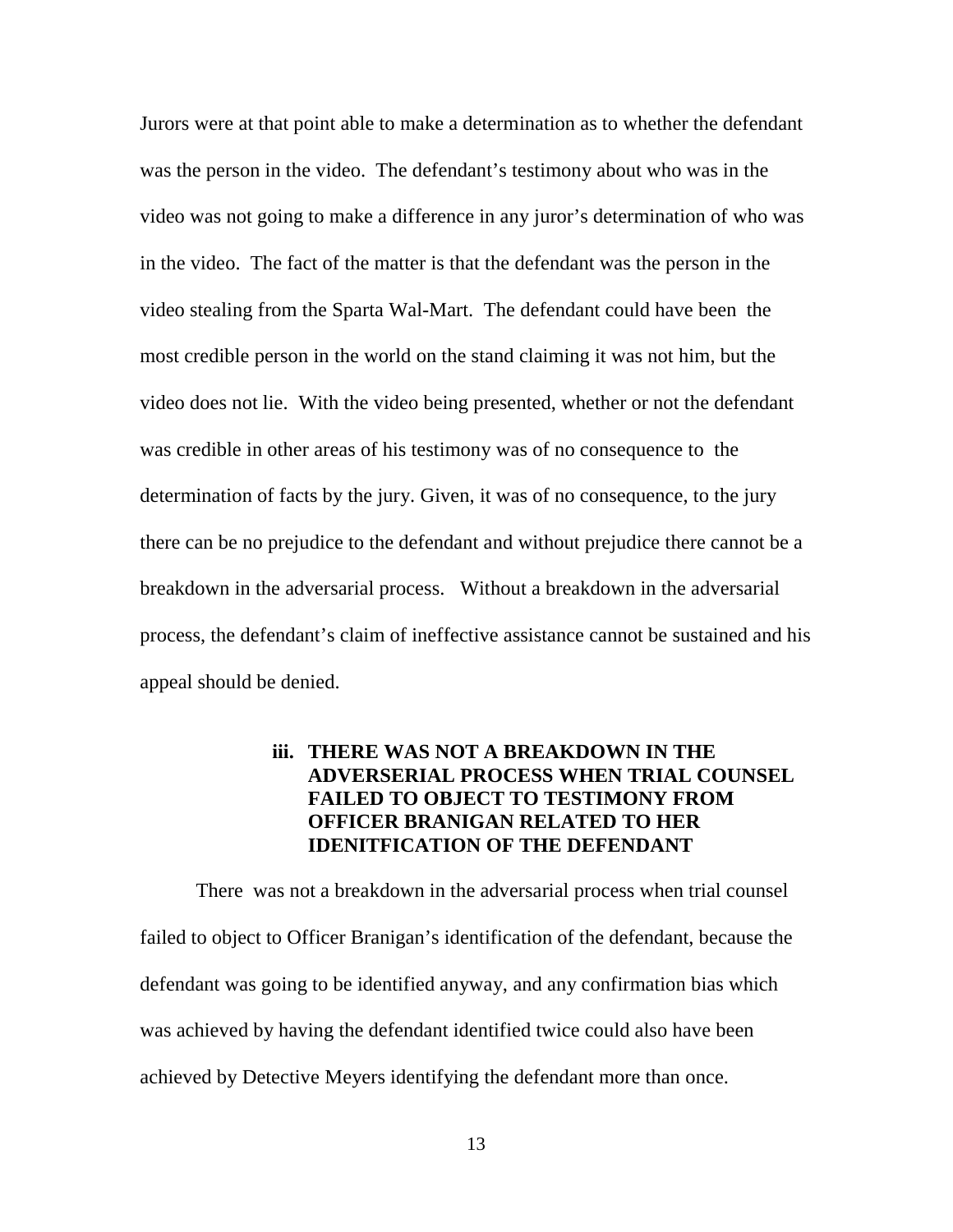Jurors were at that point able to make a determination as to whether the defendant was the person in the video. The defendant's testimony about who was in the video was not going to make a difference in any juror's determination of who was in the video. The fact of the matter is that the defendant was the person in the video stealing from the Sparta Wal-Mart. The defendant could have been the most credible person in the world on the stand claiming it was not him, but the video does not lie. With the video being presented, whether or not the defendant was credible in other areas of his testimony was of no consequence to the determination of facts by the jury. Given, it was of no consequence, to the jury there can be no prejudice to the defendant and without prejudice there cannot be a breakdown in the adversarial process. Without a breakdown in the adversarial process, the defendant's claim of ineffective assistance cannot be sustained and his appeal should be denied.

# **iii. THERE WAS NOT A BREAKDOWN IN THE ADVERSERIAL PROCESS WHEN TRIAL COUNSEL FAILED TO OBJECT TO TESTIMONY FROM OFFICER BRANIGAN RELATED TO HER IDENITFICATION OF THE DEFENDANT**

 There was not a breakdown in the adversarial process when trial counsel failed to object to Officer Branigan's identification of the defendant, because the defendant was going to be identified anyway, and any confirmation bias which was achieved by having the defendant identified twice could also have been achieved by Detective Meyers identifying the defendant more than once.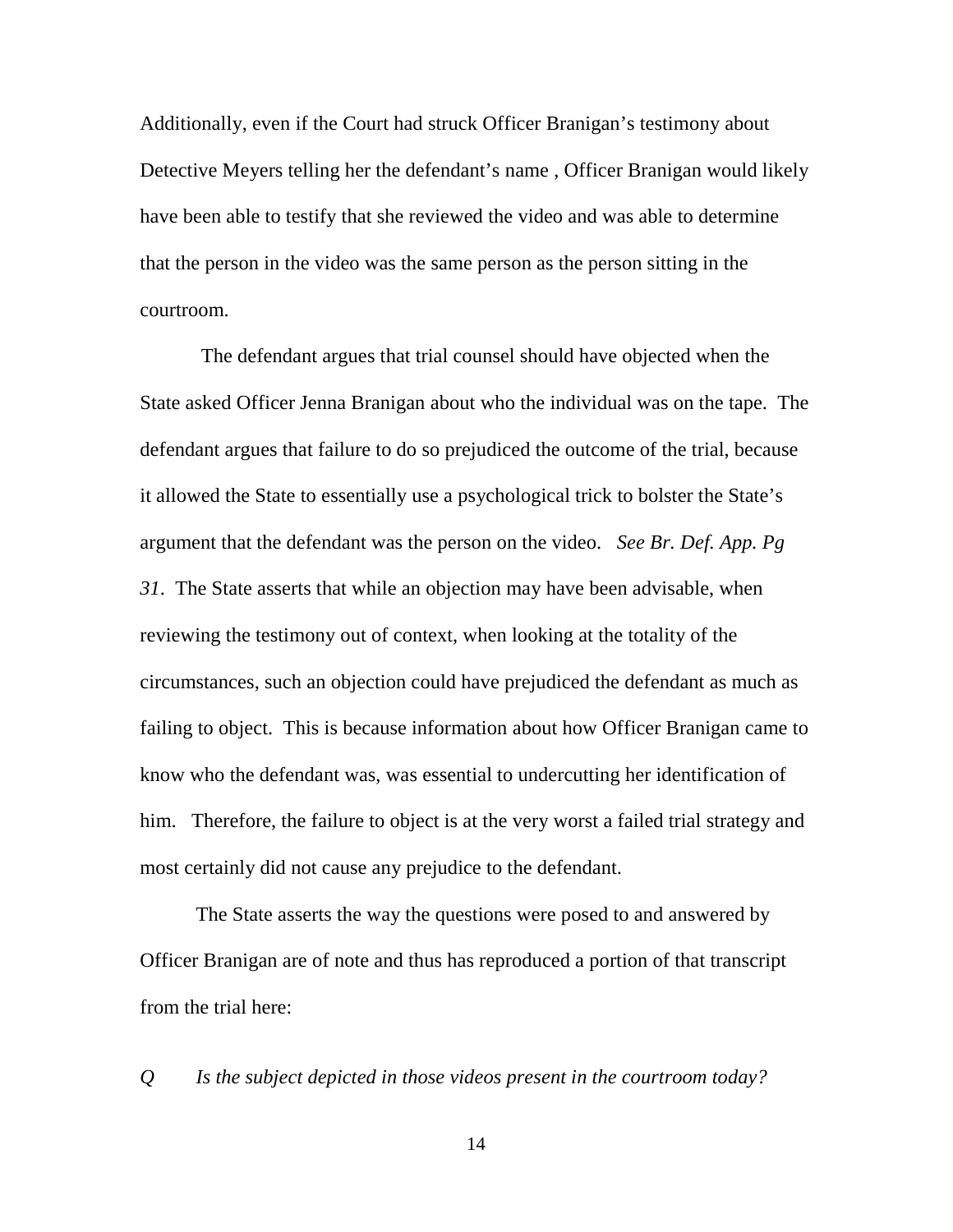Additionally, even if the Court had struck Officer Branigan's testimony about Detective Meyers telling her the defendant's name , Officer Branigan would likely have been able to testify that she reviewed the video and was able to determine that the person in the video was the same person as the person sitting in the courtroom.

 The defendant argues that trial counsel should have objected when the State asked Officer Jenna Branigan about who the individual was on the tape. The defendant argues that failure to do so prejudiced the outcome of the trial, because it allowed the State to essentially use a psychological trick to bolster the State's argument that the defendant was the person on the video. *See Br. Def. App. Pg 31*. The State asserts that while an objection may have been advisable, when reviewing the testimony out of context, when looking at the totality of the circumstances, such an objection could have prejudiced the defendant as much as failing to object. This is because information about how Officer Branigan came to know who the defendant was, was essential to undercutting her identification of him. Therefore, the failure to object is at the very worst a failed trial strategy and most certainly did not cause any prejudice to the defendant.

The State asserts the way the questions were posed to and answered by Officer Branigan are of note and thus has reproduced a portion of that transcript from the trial here:

*Q Is the subject depicted in those videos present in the courtroom today?*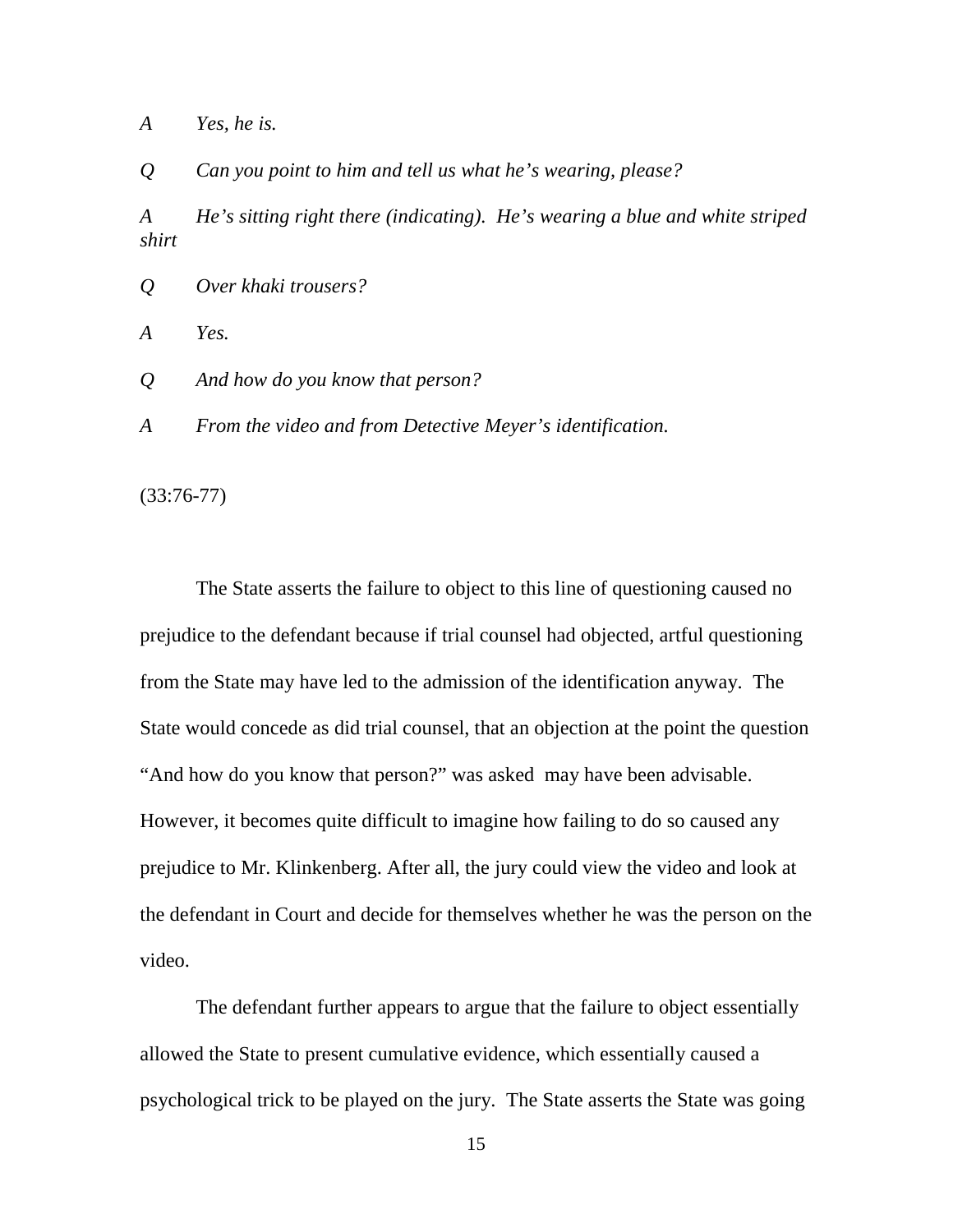*A Yes, he is.* 

*Q Can you point to him and tell us what he's wearing, please?* 

*A He's sitting right there (indicating). He's wearing a blue and white striped shirt* 

*Q Over khaki trousers?* 

*A Yes.* 

*Q And how do you know that person?* 

*A From the video and from Detective Meyer's identification.* 

(33:76-77)

The State asserts the failure to object to this line of questioning caused no prejudice to the defendant because if trial counsel had objected, artful questioning from the State may have led to the admission of the identification anyway. The State would concede as did trial counsel, that an objection at the point the question "And how do you know that person?" was asked may have been advisable. However, it becomes quite difficult to imagine how failing to do so caused any prejudice to Mr. Klinkenberg. After all, the jury could view the video and look at the defendant in Court and decide for themselves whether he was the person on the video.

The defendant further appears to argue that the failure to object essentially allowed the State to present cumulative evidence, which essentially caused a psychological trick to be played on the jury. The State asserts the State was going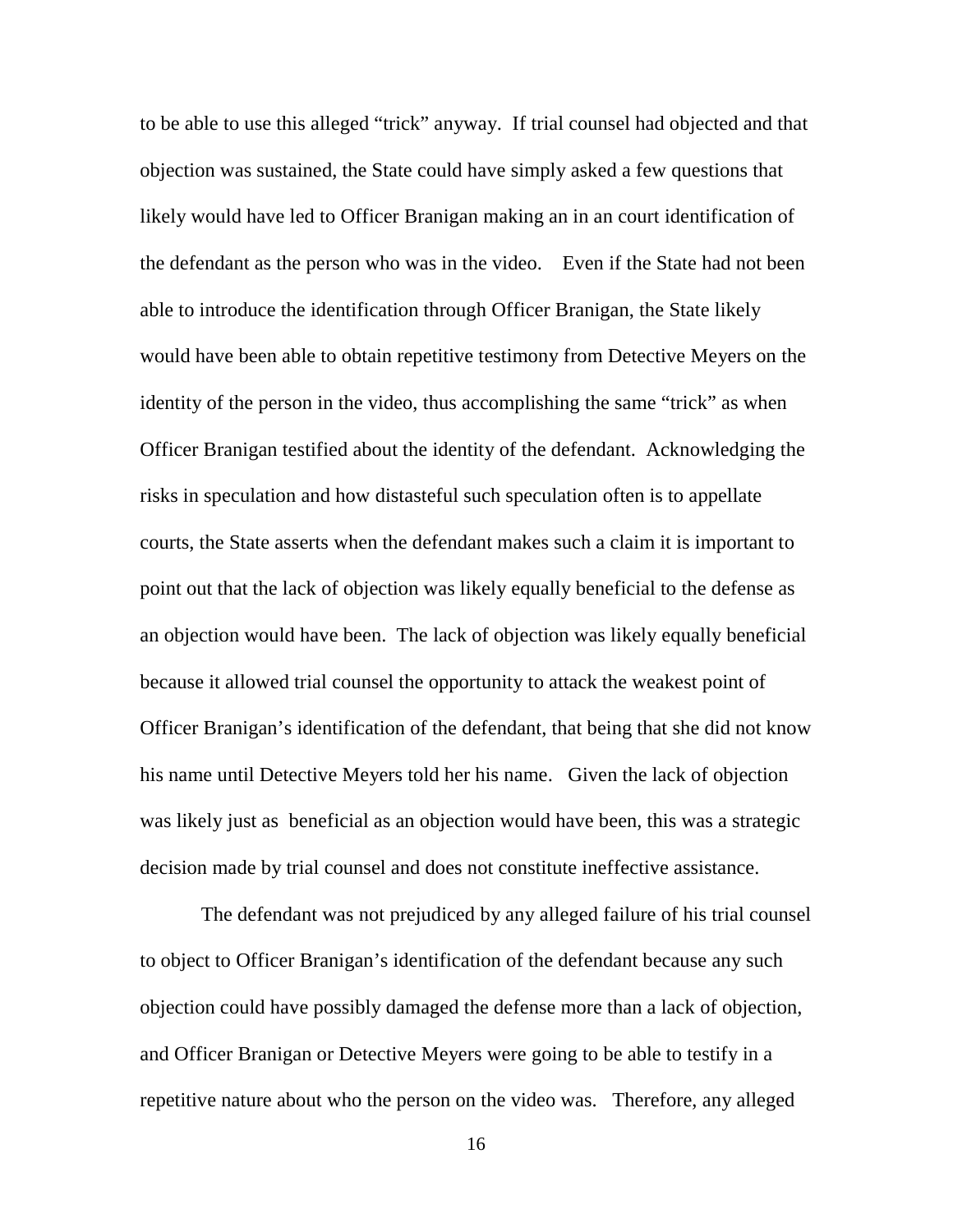to be able to use this alleged "trick" anyway. If trial counsel had objected and that objection was sustained, the State could have simply asked a few questions that likely would have led to Officer Branigan making an in an court identification of the defendant as the person who was in the video. Even if the State had not been able to introduce the identification through Officer Branigan, the State likely would have been able to obtain repetitive testimony from Detective Meyers on the identity of the person in the video, thus accomplishing the same "trick" as when Officer Branigan testified about the identity of the defendant. Acknowledging the risks in speculation and how distasteful such speculation often is to appellate courts, the State asserts when the defendant makes such a claim it is important to point out that the lack of objection was likely equally beneficial to the defense as an objection would have been. The lack of objection was likely equally beneficial because it allowed trial counsel the opportunity to attack the weakest point of Officer Branigan's identification of the defendant, that being that she did not know his name until Detective Meyers told her his name. Given the lack of objection was likely just as beneficial as an objection would have been, this was a strategic decision made by trial counsel and does not constitute ineffective assistance.

 The defendant was not prejudiced by any alleged failure of his trial counsel to object to Officer Branigan's identification of the defendant because any such objection could have possibly damaged the defense more than a lack of objection, and Officer Branigan or Detective Meyers were going to be able to testify in a repetitive nature about who the person on the video was. Therefore, any alleged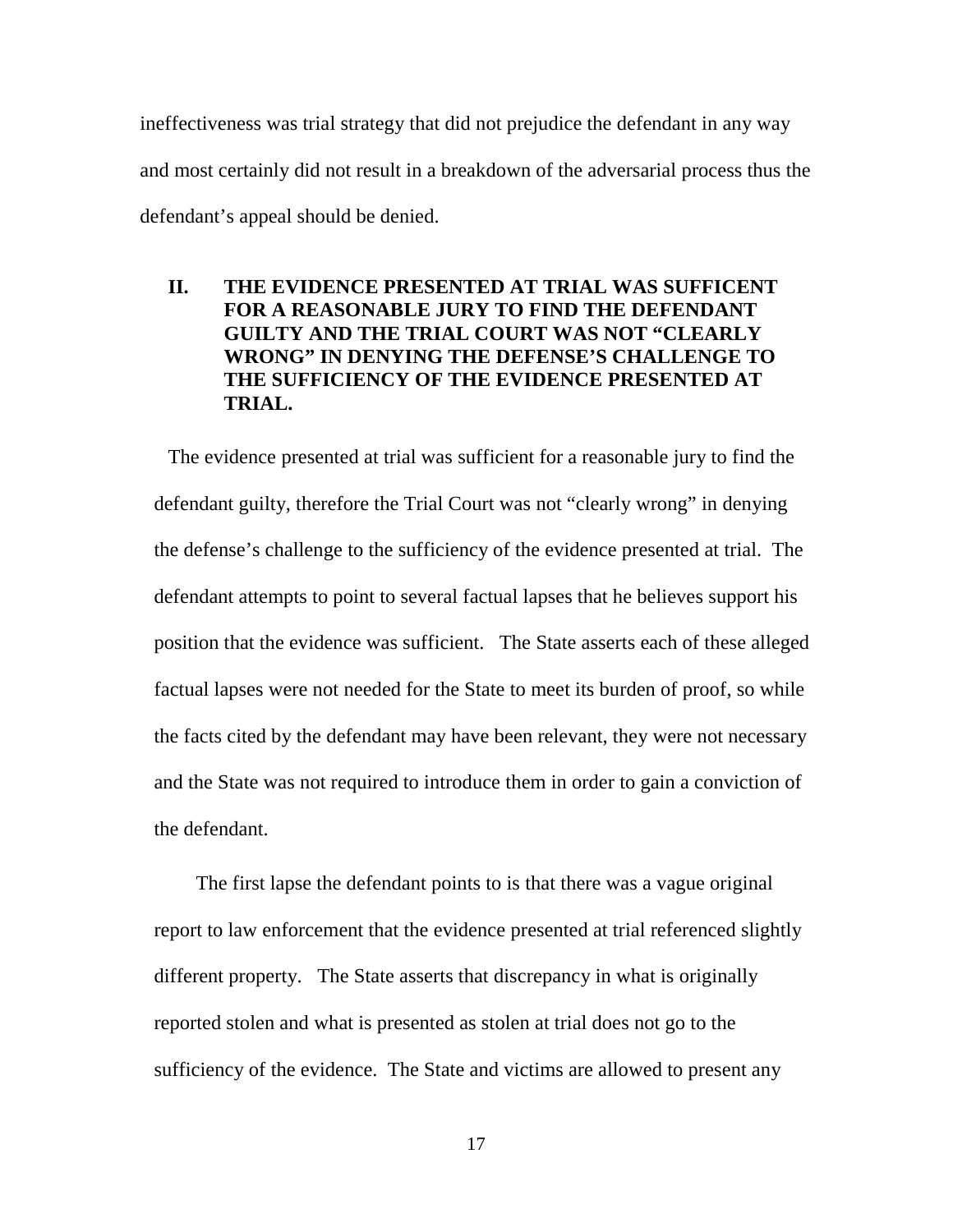ineffectiveness was trial strategy that did not prejudice the defendant in any way and most certainly did not result in a breakdown of the adversarial process thus the defendant's appeal should be denied.

# **II. THE EVIDENCE PRESENTED AT TRIAL WAS SUFFICENT FOR A REASONABLE JURY TO FIND THE DEFENDANT GUILTY AND THE TRIAL COURT WAS NOT "CLEARLY WRONG" IN DENYING THE DEFENSE'S CHALLENGE TO THE SUFFICIENCY OF THE EVIDENCE PRESENTED AT TRIAL.**

The evidence presented at trial was sufficient for a reasonable jury to find the defendant guilty, therefore the Trial Court was not "clearly wrong" in denying the defense's challenge to the sufficiency of the evidence presented at trial. The defendant attempts to point to several factual lapses that he believes support his position that the evidence was sufficient. The State asserts each of these alleged factual lapses were not needed for the State to meet its burden of proof, so while the facts cited by the defendant may have been relevant, they were not necessary and the State was not required to introduce them in order to gain a conviction of the defendant.

The first lapse the defendant points to is that there was a vague original report to law enforcement that the evidence presented at trial referenced slightly different property. The State asserts that discrepancy in what is originally reported stolen and what is presented as stolen at trial does not go to the sufficiency of the evidence. The State and victims are allowed to present any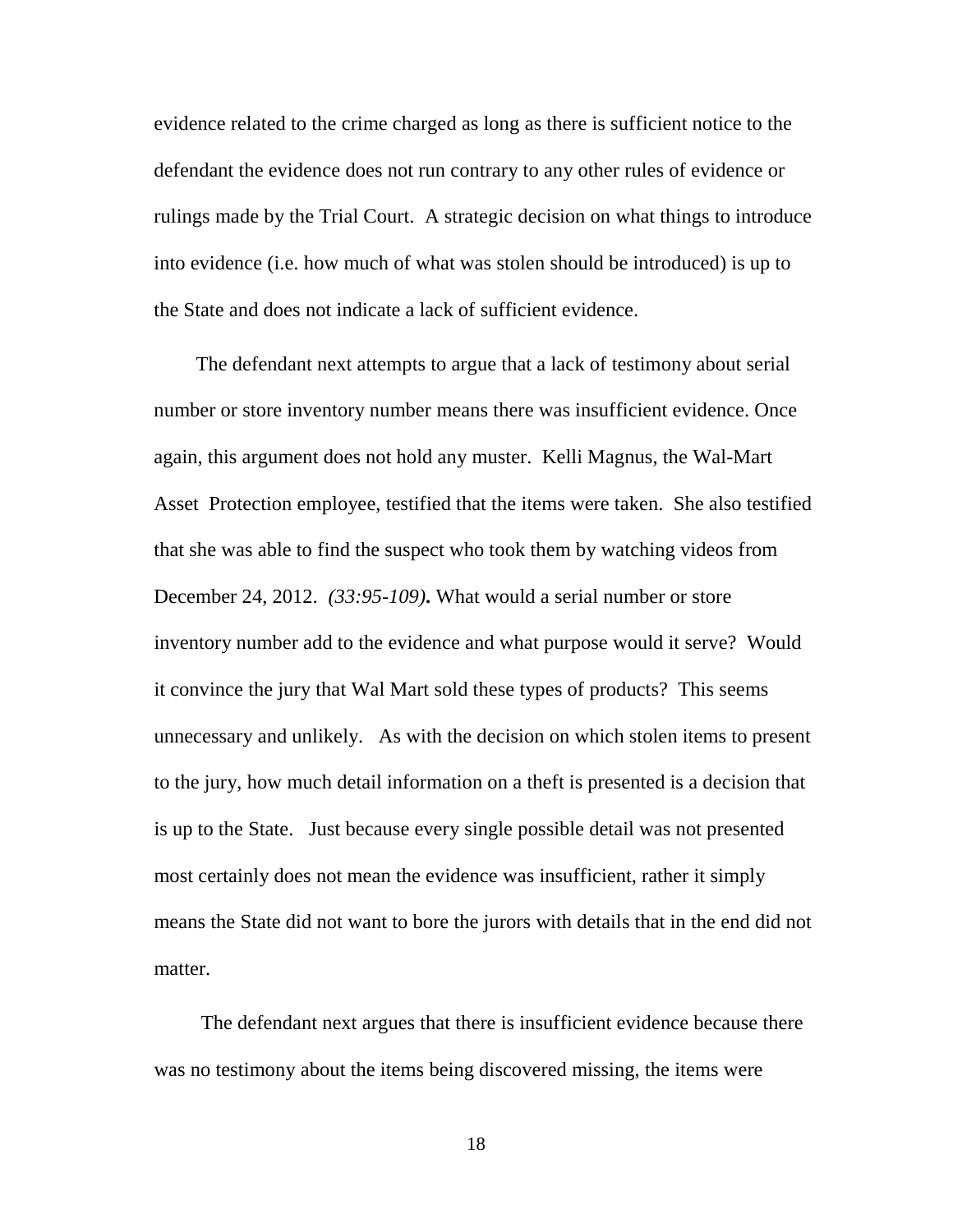evidence related to the crime charged as long as there is sufficient notice to the defendant the evidence does not run contrary to any other rules of evidence or rulings made by the Trial Court. A strategic decision on what things to introduce into evidence (i.e. how much of what was stolen should be introduced) is up to the State and does not indicate a lack of sufficient evidence.

The defendant next attempts to argue that a lack of testimony about serial number or store inventory number means there was insufficient evidence. Once again, this argument does not hold any muster. Kelli Magnus, the Wal-Mart Asset Protection employee, testified that the items were taken. She also testified that she was able to find the suspect who took them by watching videos from December 24, 2012. *(33:95-109)***.** What would a serial number or store inventory number add to the evidence and what purpose would it serve? Would it convince the jury that Wal Mart sold these types of products? This seems unnecessary and unlikely. As with the decision on which stolen items to present to the jury, how much detail information on a theft is presented is a decision that is up to the State. Just because every single possible detail was not presented most certainly does not mean the evidence was insufficient, rather it simply means the State did not want to bore the jurors with details that in the end did not matter.

 The defendant next argues that there is insufficient evidence because there was no testimony about the items being discovered missing, the items were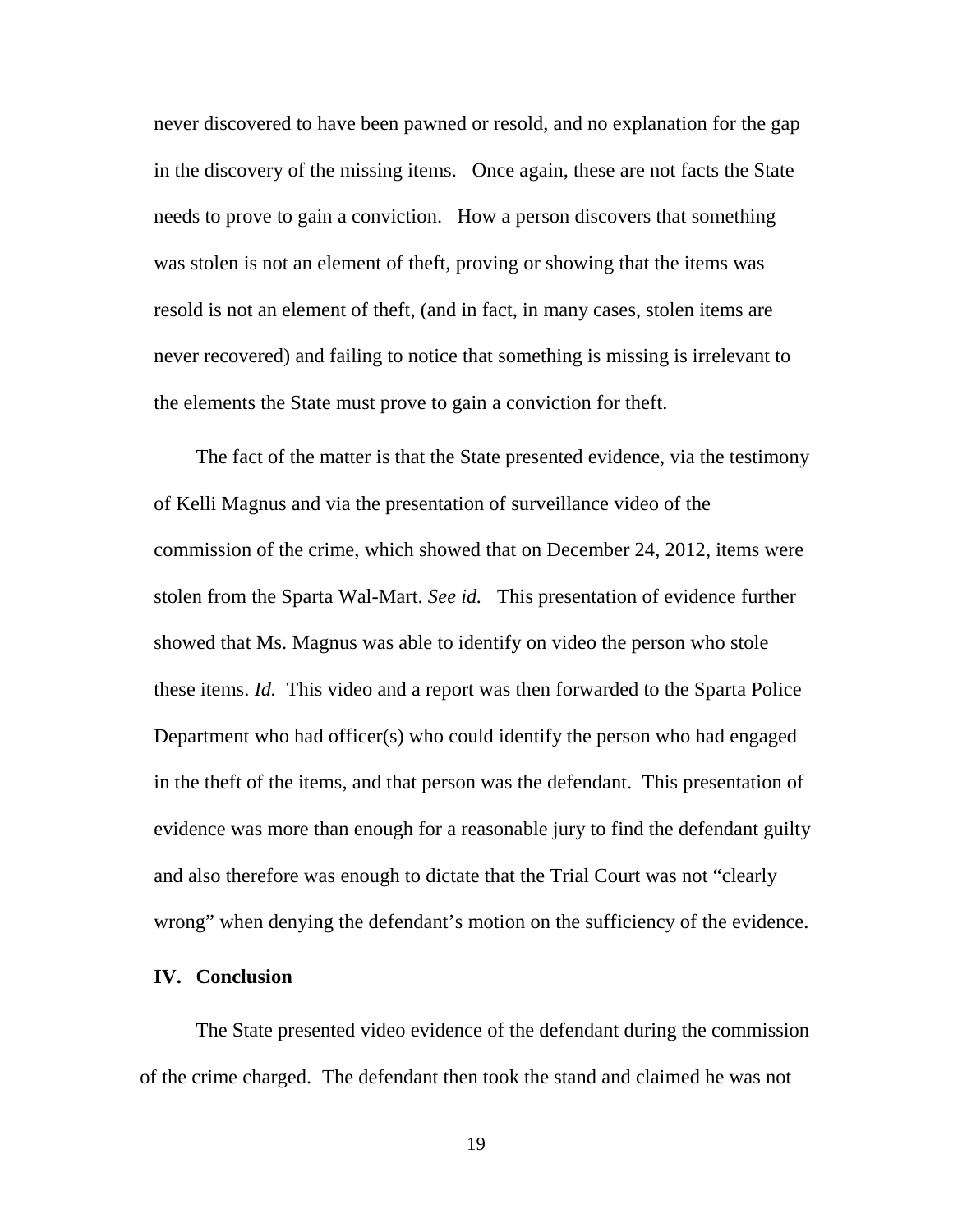never discovered to have been pawned or resold, and no explanation for the gap in the discovery of the missing items. Once again, these are not facts the State needs to prove to gain a conviction. How a person discovers that something was stolen is not an element of theft, proving or showing that the items was resold is not an element of theft, (and in fact, in many cases, stolen items are never recovered) and failing to notice that something is missing is irrelevant to the elements the State must prove to gain a conviction for theft.

The fact of the matter is that the State presented evidence, via the testimony of Kelli Magnus and via the presentation of surveillance video of the commission of the crime, which showed that on December 24, 2012, items were stolen from the Sparta Wal-Mart. *See id.* This presentation of evidence further showed that Ms. Magnus was able to identify on video the person who stole these items. *Id.* This video and a report was then forwarded to the Sparta Police Department who had officer(s) who could identify the person who had engaged in the theft of the items, and that person was the defendant. This presentation of evidence was more than enough for a reasonable jury to find the defendant guilty and also therefore was enough to dictate that the Trial Court was not "clearly wrong" when denying the defendant's motion on the sufficiency of the evidence.

#### **IV. Conclusion**

 The State presented video evidence of the defendant during the commission of the crime charged. The defendant then took the stand and claimed he was not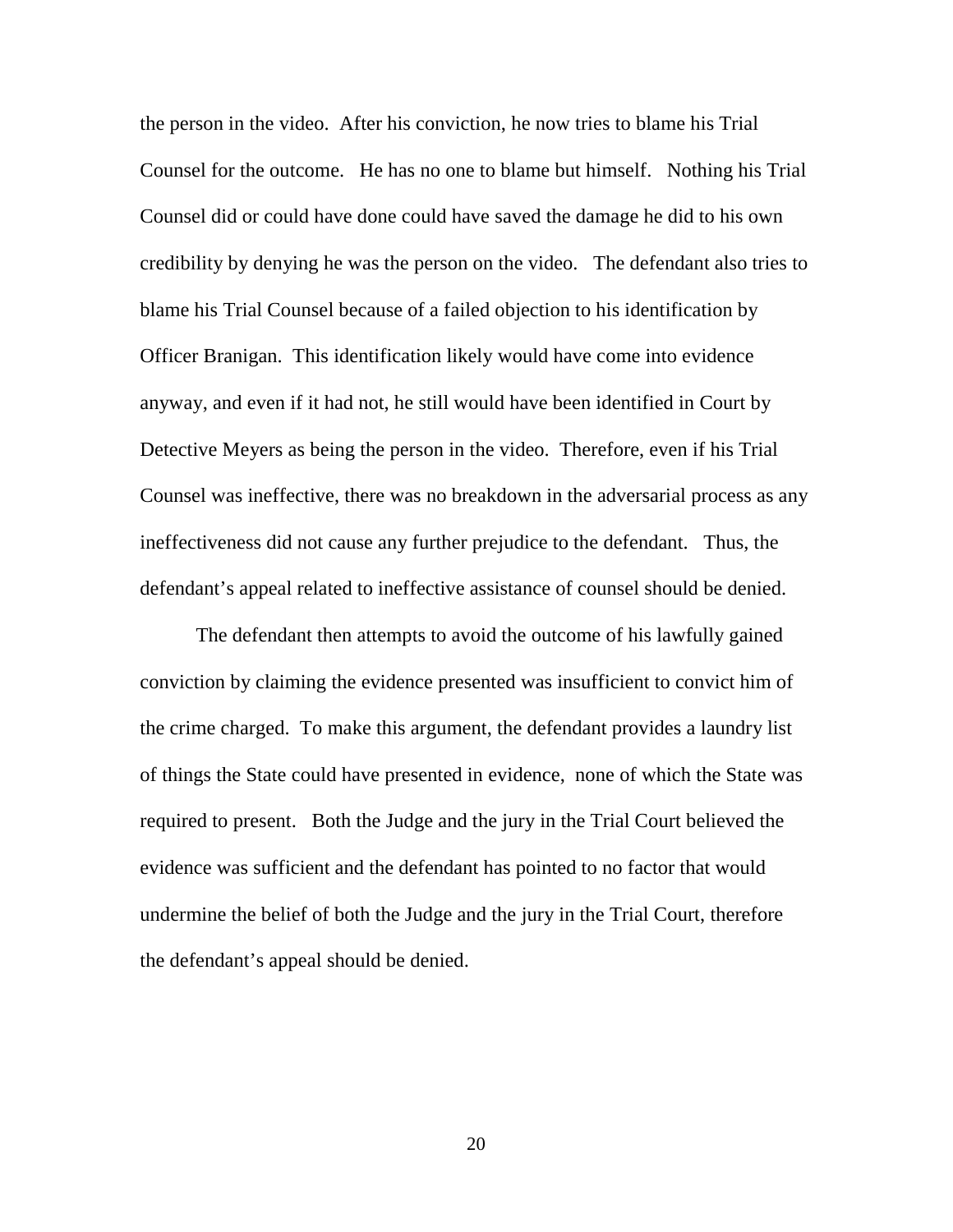the person in the video. After his conviction, he now tries to blame his Trial Counsel for the outcome. He has no one to blame but himself. Nothing his Trial Counsel did or could have done could have saved the damage he did to his own credibility by denying he was the person on the video. The defendant also tries to blame his Trial Counsel because of a failed objection to his identification by Officer Branigan. This identification likely would have come into evidence anyway, and even if it had not, he still would have been identified in Court by Detective Meyers as being the person in the video. Therefore, even if his Trial Counsel was ineffective, there was no breakdown in the adversarial process as any ineffectiveness did not cause any further prejudice to the defendant. Thus, the defendant's appeal related to ineffective assistance of counsel should be denied.

 The defendant then attempts to avoid the outcome of his lawfully gained conviction by claiming the evidence presented was insufficient to convict him of the crime charged. To make this argument, the defendant provides a laundry list of things the State could have presented in evidence, none of which the State was required to present. Both the Judge and the jury in the Trial Court believed the evidence was sufficient and the defendant has pointed to no factor that would undermine the belief of both the Judge and the jury in the Trial Court, therefore the defendant's appeal should be denied.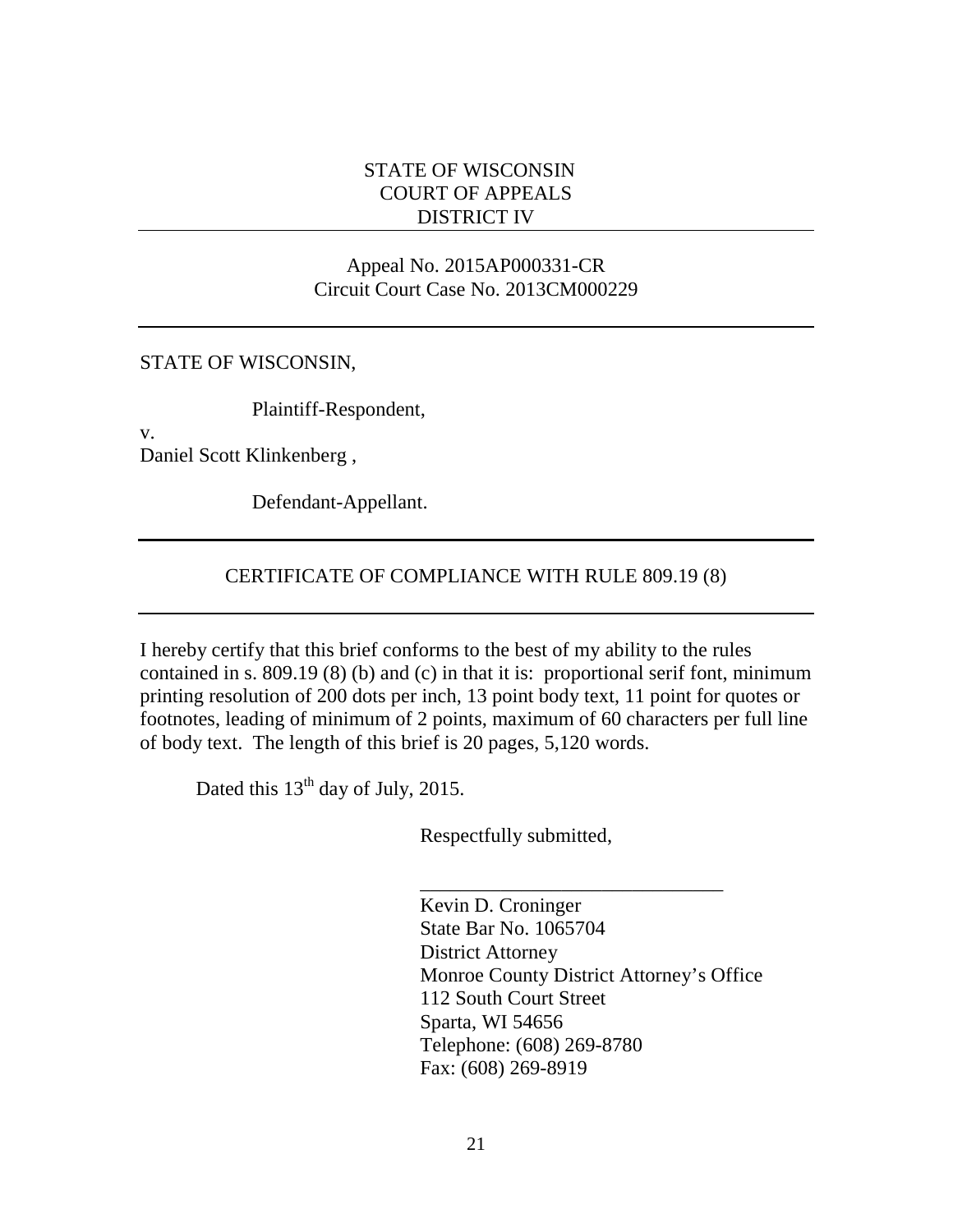#### STATE OF WISCONSIN COURT OF APPEALS DISTRICT IV

## Appeal No. 2015AP000331-CR Circuit Court Case No. 2013CM000229

#### STATE OF WISCONSIN,

Plaintiff-Respondent,

v.

Daniel Scott Klinkenberg ,

Defendant-Appellant.

# CERTIFICATE OF COMPLIANCE WITH RULE 809.19 (8)

I hereby certify that this brief conforms to the best of my ability to the rules contained in s. 809.19 (8) (b) and (c) in that it is: proportional serif font, minimum printing resolution of 200 dots per inch, 13 point body text, 11 point for quotes or footnotes, leading of minimum of 2 points, maximum of 60 characters per full line of body text. The length of this brief is 20 pages, 5,120 words.

 $\frac{1}{\sqrt{2}}$  ,  $\frac{1}{\sqrt{2}}$  ,  $\frac{1}{\sqrt{2}}$  ,  $\frac{1}{\sqrt{2}}$  ,  $\frac{1}{\sqrt{2}}$  ,  $\frac{1}{\sqrt{2}}$  ,  $\frac{1}{\sqrt{2}}$  ,  $\frac{1}{\sqrt{2}}$  ,  $\frac{1}{\sqrt{2}}$  ,  $\frac{1}{\sqrt{2}}$  ,  $\frac{1}{\sqrt{2}}$  ,  $\frac{1}{\sqrt{2}}$  ,  $\frac{1}{\sqrt{2}}$  ,  $\frac{1}{\sqrt{2}}$  ,  $\frac{1}{\sqrt{2}}$ 

Dated this  $13<sup>th</sup>$  day of July, 2015.

Respectfully submitted,

 Kevin D. Croninger State Bar No. 1065704 District Attorney Monroe County District Attorney's Office 112 South Court Street Sparta, WI 54656 Telephone: (608) 269-8780 Fax: (608) 269-8919